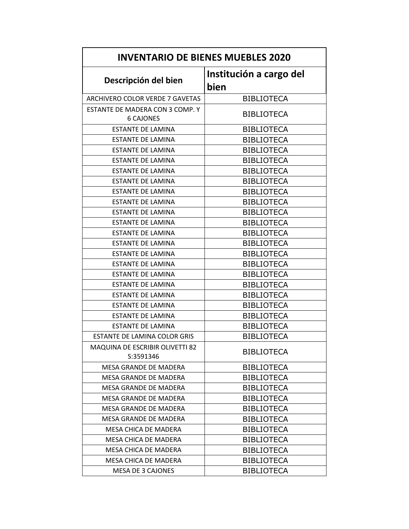| <b>INVENTARIO DE BIENES MUEBLES 2020</b>            |                                 |
|-----------------------------------------------------|---------------------------------|
| Descripción del bien                                | Institución a cargo del<br>bien |
| ARCHIVERO COLOR VERDE 7 GAVETAS                     | <b>BIBLIOTECA</b>               |
| ESTANTE DE MADERA CON 3 COMP. Y<br><b>6 CAJONES</b> | <b>BIBLIOTECA</b>               |
| <b>ESTANTE DE LAMINA</b>                            | <b>BIBLIOTECA</b>               |
| <b>ESTANTE DE LAMINA</b>                            | <b>BIBLIOTECA</b>               |
| <b>ESTANTE DE LAMINA</b>                            | <b>BIBLIOTECA</b>               |
| <b>ESTANTE DE LAMINA</b>                            | <b>BIBLIOTECA</b>               |
| <b>ESTANTE DE LAMINA</b>                            | <b>BIBLIOTECA</b>               |
| <b>ESTANTE DE LAMINA</b>                            | <b>BIBLIOTECA</b>               |
| <b>ESTANTE DE LAMINA</b>                            | <b>BIBLIOTECA</b>               |
| <b>ESTANTE DE LAMINA</b>                            | <b>BIBLIOTECA</b>               |
| <b>ESTANTE DE LAMINA</b>                            | <b>BIBLIOTECA</b>               |
| <b>ESTANTE DE LAMINA</b>                            | <b>BIBLIOTECA</b>               |
| <b>ESTANTE DE LAMINA</b>                            | <b>BIBLIOTECA</b>               |
| <b>ESTANTE DE LAMINA</b>                            | <b>BIBLIOTECA</b>               |
| <b>ESTANTE DE LAMINA</b>                            | <b>BIBLIOTECA</b>               |
| <b>ESTANTE DE LAMINA</b>                            | <b>BIBLIOTECA</b>               |
| <b>ESTANTE DE LAMINA</b>                            | <b>BIBLIOTECA</b>               |
| <b>ESTANTE DE LAMINA</b>                            | <b>BIBLIOTECA</b>               |
| <b>ESTANTE DE LAMINA</b>                            | <b>BIBLIOTECA</b>               |
| <b>ESTANTE DE LAMINA</b>                            | <b>BIBLIOTECA</b>               |
| <b>ESTANTE DE LAMINA</b>                            | <b>BIBLIOTECA</b>               |
| <b>ESTANTE DE LAMINA</b>                            | <b>BIBLIOTECA</b>               |
| ESTANTE DE LAMINA COLOR GRIS                        | <b>BIBLIOTECA</b>               |
| MAQUINA DE ESCRIBIR OLIVETTI 82<br>S:3591346        | <b>BIBLIOTECA</b>               |
| <b>MESA GRANDE DE MADERA</b>                        | <b>BIBLIOTECA</b>               |
| MESA GRANDE DE MADERA                               | <b>BIBLIOTECA</b>               |
| MESA GRANDE DE MADERA                               | <b>BIBLIOTECA</b>               |
| MESA GRANDE DE MADERA                               | <b>BIBLIOTECA</b>               |
| MESA GRANDE DE MADERA                               | <b>BIBLIOTECA</b>               |
| MESA GRANDE DE MADERA                               | <b>BIBLIOTECA</b>               |
| MESA CHICA DE MADERA                                | <b>BIBLIOTECA</b>               |
| MESA CHICA DE MADERA                                | <b>BIBLIOTECA</b>               |
| MESA CHICA DE MADERA                                | <b>BIBLIOTECA</b>               |
| MESA CHICA DE MADERA                                | <b>BIBLIOTECA</b>               |
| <b>MESA DE 3 CAJONES</b>                            | <b>BIBLIOTECA</b>               |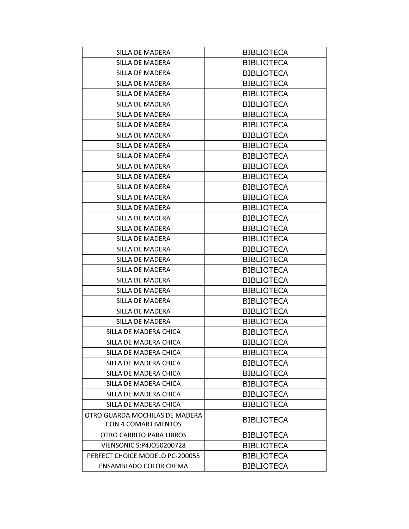| SILLA DE MADERA                 | <b>BIBLIOTECA</b> |
|---------------------------------|-------------------|
| SILLA DE MADERA                 | <b>BIBLIOTECA</b> |
| SILLA DE MADERA                 | <b>BIBLIOTECA</b> |
| SILLA DE MADERA                 | <b>BIBLIOTECA</b> |
| SILLA DE MADERA                 | <b>BIBLIOTECA</b> |
| SILLA DE MADERA                 | <b>BIBLIOTECA</b> |
| SILLA DE MADERA                 | <b>BIBLIOTECA</b> |
| SILLA DE MADERA                 | <b>BIBLIOTECA</b> |
| SILLA DE MADERA                 | <b>BIBLIOTECA</b> |
| SILLA DE MADERA                 | <b>BIBLIOTECA</b> |
| SILLA DE MADERA                 | <b>BIBLIOTECA</b> |
| SILLA DE MADERA                 | <b>BIBLIOTECA</b> |
| SILLA DE MADERA                 | <b>BIBLIOTECA</b> |
| SILLA DE MADERA                 | <b>BIBLIOTECA</b> |
| SILLA DE MADERA                 | <b>BIBLIOTECA</b> |
| SILLA DE MADERA                 | <b>BIBLIOTECA</b> |
| SILLA DE MADERA                 | <b>BIBLIOTECA</b> |
| SILLA DE MADERA                 | <b>BIBLIOTECA</b> |
| SILLA DE MADERA                 | <b>BIBLIOTECA</b> |
| SILLA DE MADERA                 | <b>BIBLIOTECA</b> |
| SILLA DE MADERA                 | <b>BIBLIOTECA</b> |
| SILLA DE MADERA                 | <b>BIBLIOTECA</b> |
| SILLA DE MADERA                 | <b>BIBLIOTECA</b> |
| SILLA DE MADERA                 | <b>BIBLIOTECA</b> |
| SILLA DE MADERA                 | <b>BIBLIOTECA</b> |
| SILLA DE MADERA                 | <b>BIBLIOTECA</b> |
| SILLA DE MADERA                 | <b>BIBLIOTECA</b> |
| SILLA DE MADERA CHICA           | <b>BIBLIOTECA</b> |
| SILLA DE MADERA CHICA           | <b>BIBLIOTECA</b> |
| SILLA DE MADERA CHICA           | <b>BIBLIOTECA</b> |
| SILLA DE MADERA CHICA           | <b>BIBLIOTECA</b> |
| SILLA DE MADERA CHICA           | <b>BIBLIOTECA</b> |
| SILLA DE MADERA CHICA           | <b>BIBLIOTECA</b> |
| SILLA DE MADERA CHICA           | <b>BIBLIOTECA</b> |
| SILLA DE MADERA CHICA           | <b>BIBLIOTECA</b> |
| OTRO GUARDA MOCHILAS DE MADERA  | <b>BIBLIOTECA</b> |
| <b>CON 4 COMARTIMENTOS</b>      |                   |
| OTRO CARRITO PARA LIBROS        | <b>BIBLIOTECA</b> |
| <b>VIENSONIC S:P4JO50200728</b> | <b>BIBLIOTECA</b> |
| PERFECT CHOICE MODELO PC-200055 | <b>BIBLIOTECA</b> |
| ENSAMBLADO COLOR CREMA          | <b>BIBLIOTECA</b> |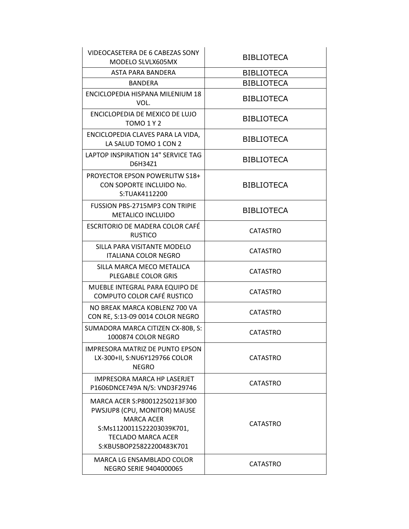| VIDEOCASETERA DE 6 CABEZAS SONY<br>MODELO SLVLX605MX                                                                                                                     | <b>BIBLIOTECA</b> |
|--------------------------------------------------------------------------------------------------------------------------------------------------------------------------|-------------------|
| ASTA PARA BANDERA                                                                                                                                                        | <b>BIBLIOTECA</b> |
| BANDERA                                                                                                                                                                  | <b>BIBLIOTECA</b> |
| ENCICLOPEDIA HISPANA MILENIUM 18<br>VOL.                                                                                                                                 | <b>BIBLIOTECA</b> |
| ENCICLOPEDIA DE MEXICO DE LUJO<br><b>TOMO 1 Y 2</b>                                                                                                                      | <b>BIBLIOTECA</b> |
| ENCICLOPEDIA CLAVES PARA LA VIDA,<br>LA SALUD TOMO 1 CON 2                                                                                                               | <b>BIBLIOTECA</b> |
| LAPTOP INSPIRATION 14" SERVICE TAG<br>D6H34Z1                                                                                                                            | <b>BIBLIOTECA</b> |
| <b>PROYECTOR EPSON POWERLITW S18+</b><br>CON SOPORTE INCLUIDO No.<br>S:TUAK4112200                                                                                       | <b>BIBLIOTECA</b> |
| <b>FUSSION PBS-2715MP3 CON TRIPIE</b><br><b>METALICO INCLUIDO</b>                                                                                                        | <b>BIBLIOTECA</b> |
| ESCRITORIO DE MADERA COLOR CAFÉ<br><b>RUSTICO</b>                                                                                                                        | CATASTRO          |
| SILLA PARA VISITANTE MODELO<br><b>ITALIANA COLOR NEGRO</b>                                                                                                               | CATASTRO          |
| SILLA MARCA MECO METALICA<br>PLEGABLE COLOR GRIS                                                                                                                         | <b>CATASTRO</b>   |
| MUEBLE INTEGRAL PARA EQUIPO DE<br>COMPUTO COLOR CAFÉ RUSTICO                                                                                                             | <b>CATASTRO</b>   |
| NO BREAK MARCA KOBLENZ 700 VA<br>CON RE, S:13-09 0014 COLOR NEGRO                                                                                                        | <b>CATASTRO</b>   |
| SUMADORA MARCA CITIZEN CX-80B, S:<br>1000874 COLOR NEGRO                                                                                                                 | <b>CATASTRO</b>   |
| IMPRESORA MATRIZ DE PUNTO EPSON<br>LX-300+II, S:NU6Y129766 COLOR<br><b>NEGRO</b>                                                                                         | <b>CATASTRO</b>   |
| <b>IMPRESORA MARCA HP LASERJET</b><br>P1606DNCE749A N/S: VND3F29746                                                                                                      | <b>CATASTRO</b>   |
| MARCA ACER S:P80012250213F300<br>PWSJUP8 (CPU, MONITOR) MAUSE<br><b>MARCA ACER</b><br>S:Ms1120011522203039K701,<br><b>TECLADO MARCA ACER</b><br>S:KBUSBOP25822200483K701 | <b>CATASTRO</b>   |
| MARCA LG ENSAMBLADO COLOR<br><b>NEGRO SERIE 9404000065</b>                                                                                                               | <b>CATASTRO</b>   |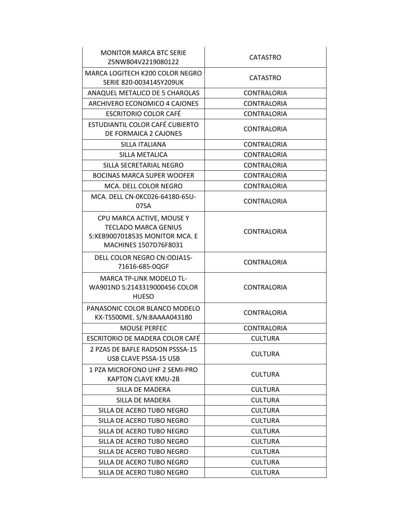| <b>MONITOR MARCA BTC SERIE</b><br>Z5NW804V2219080122                                                                | <b>CATASTRO</b>    |
|---------------------------------------------------------------------------------------------------------------------|--------------------|
| MARCA LOGITECH K200 COLOR NEGRO<br>SERIE 820-003414SY209UK                                                          | <b>CATASTRO</b>    |
| ANAQUEL METALICO DE 5 CHAROLAS                                                                                      | <b>CONTRALORIA</b> |
| ARCHIVERO ECONOMICO 4 CAJONES                                                                                       | <b>CONTRALORIA</b> |
| <b>ESCRITORIO COLOR CAFÉ</b>                                                                                        | <b>CONTRALORIA</b> |
| <b>ESTUDIANTIL COLOR CAFÉ CUBIERTO</b><br>DE FORMAICA 2 CAJONES                                                     | <b>CONTRALORIA</b> |
| SILLA ITALIANA                                                                                                      | <b>CONTRALORIA</b> |
| SILLA METALICA                                                                                                      | <b>CONTRALORIA</b> |
| SILLA SECRETARIAL NEGRO                                                                                             | <b>CONTRALORIA</b> |
| <b>BOCINAS MARCA SUPER WOOFER</b>                                                                                   | <b>CONTRALORIA</b> |
| MCA. DELL COLOR NEGRO                                                                                               | <b>CONTRALORIA</b> |
| MCA. DELL CN-0KC026-64180-65U-<br>07SA                                                                              | <b>CONTRALORIA</b> |
| CPU MARCA ACTIVE, MOUSE Y<br><b>TECLADO MARCA GENIUS</b><br>S:XEB9007018535 MONITOR MCA. E<br>MACHINES 1507D76F8031 | <b>CONTRALORIA</b> |
| DELL COLOR NEGRO CN:ODJA1S-<br>71616-685-0QGF                                                                       | <b>CONTRALORIA</b> |
| <b>MARCA TP-LINK MODELO TL-</b><br>WA901ND S:2143319000456 COLOR<br><b>HUESO</b>                                    | <b>CONTRALORIA</b> |
| PANASONIC COLOR BLANCO MODELO<br>KX-TS500ME. S/N:8AAAA043180                                                        | <b>CONTRALORIA</b> |
| <b>MOUSE PERFEC</b>                                                                                                 | <b>CONTRALORIA</b> |
| ESCRITORIO DE MADERA COLOR CAFÉ                                                                                     | <b>CULTURA</b>     |
| 2 PZAS DE BAFLE RADSON PSSSA-15<br>USB CLAVE PSSA-15 USB                                                            | <b>CULTURA</b>     |
| 1 PZA MICROFONO UHF 2 SEMI-PRO<br><b>KAPTON CLAVE KMU-2B</b>                                                        | <b>CULTURA</b>     |
| SILLA DE MADERA                                                                                                     | <b>CULTURA</b>     |
| SILLA DE MADERA                                                                                                     | <b>CULTURA</b>     |
| SILLA DE ACERO TUBO NEGRO                                                                                           | <b>CULTURA</b>     |
| SILLA DE ACERO TUBO NEGRO                                                                                           | <b>CULTURA</b>     |
| SILLA DE ACERO TUBO NEGRO                                                                                           | <b>CULTURA</b>     |
| SILLA DE ACERO TUBO NEGRO                                                                                           | <b>CULTURA</b>     |
| SILLA DE ACERO TUBO NEGRO                                                                                           | <b>CULTURA</b>     |
| SILLA DE ACERO TUBO NEGRO                                                                                           | <b>CULTURA</b>     |
| SILLA DE ACERO TUBO NEGRO                                                                                           | <b>CULTURA</b>     |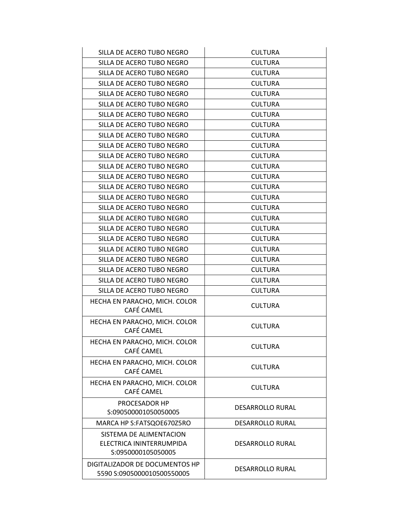| <b>DESARROLLO RURAL</b>          |
|----------------------------------|
| <b>DESARROLLO RURAL</b>          |
| <b>DESARROLLO RURAL</b>          |
| <b>CULTURA</b>                   |
| <b>CULTURA</b>                   |
| <b>CULTURA</b>                   |
| <b>CULTURA</b>                   |
| <b>CULTURA</b>                   |
| <b>CULTURA</b>                   |
| <b>CULTURA</b>                   |
| <b>CULTURA</b>                   |
| <b>CULTURA</b>                   |
| <b>CULTURA</b>                   |
| <b>CULTURA</b>                   |
| <b>CULTURA</b>                   |
| <b>CULTURA</b>                   |
| <b>CULTURA</b>                   |
| <b>CULTURA</b>                   |
| <b>CULTURA</b>                   |
| <b>CULTURA</b>                   |
| <b>CULTURA</b><br><b>CULTURA</b> |
| <b>CULTURA</b>                   |
| <b>CULTURA</b>                   |
| <b>CULTURA</b>                   |
| <b>CULTURA</b>                   |
| <b>CULTURA</b>                   |
| <b>CULTURA</b>                   |
| <b>CULTURA</b>                   |
| <b>CULTURA</b>                   |
|                                  |
| <b>CULTURA</b>                   |
|                                  |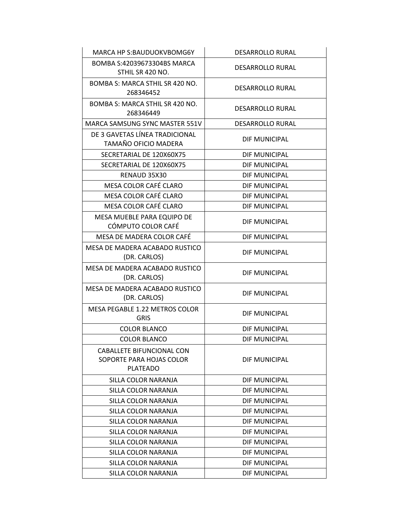| MARCA HP S:BAUDUOKVBOMG6Y                                                | <b>DESARROLLO RURAL</b> |
|--------------------------------------------------------------------------|-------------------------|
| BOMBA S:42039673304BS MARCA<br>STHIL SR 420 NO.                          | <b>DESARROLLO RURAL</b> |
| BOMBA S: MARCA STHIL SR 420 NO.<br>268346452                             | <b>DESARROLLO RURAL</b> |
| BOMBA S: MARCA STHIL SR 420 NO.<br>268346449                             | <b>DESARROLLO RURAL</b> |
| MARCA SAMSUNG SYNC MASTER 551V                                           | <b>DESARROLLO RURAL</b> |
| DE 3 GAVETAS LÍNEA TRADICIONAL<br>TAMAÑO OFICIO MADERA                   | DIF MUNICIPAL           |
| SECRETARIAL DE 120X60X75                                                 | DIF MUNICIPAL           |
| SECRETARIAL DE 120X60X75                                                 | DIF MUNICIPAL           |
| RENAUD 35X30                                                             | DIF MUNICIPAL           |
| MESA COLOR CAFÉ CLARO                                                    | <b>DIF MUNICIPAL</b>    |
| MESA COLOR CAFÉ CLARO                                                    | DIF MUNICIPAL           |
| MESA COLOR CAFÉ CLARO                                                    | <b>DIF MUNICIPAL</b>    |
| MESA MUEBLE PARA EQUIPO DE<br>CÓMPUTO COLOR CAFÉ                         | DIF MUNICIPAL           |
| MESA DE MADERA COLOR CAFÉ                                                | <b>DIF MUNICIPAL</b>    |
| MESA DE MADERA ACABADO RUSTICO<br>(DR. CARLOS)                           | DIF MUNICIPAL           |
| MESA DE MADERA ACABADO RUSTICO<br>(DR. CARLOS)                           | DIF MUNICIPAL           |
| MESA DE MADERA ACABADO RUSTICO<br>(DR. CARLOS)                           | DIF MUNICIPAL           |
| <b>MESA PEGABLE 1.22 METROS COLOR</b><br><b>GRIS</b>                     | DIF MUNICIPAL           |
| <b>COLOR BLANCO</b>                                                      | DIF MUNICIPAL           |
| <b>COLOR BLANCO</b>                                                      | <b>DIF MUNICIPAL</b>    |
| CABALLETE BIFUNCIONAL CON<br>SOPORTE PARA HOJAS COLOR<br><b>PLATEADO</b> | DIF MUNICIPAL           |
| SILLA COLOR NARANJA                                                      | DIF MUNICIPAL           |
| SILLA COLOR NARANJA                                                      | DIF MUNICIPAL           |
| SILLA COLOR NARANJA                                                      | DIF MUNICIPAL           |
| SILLA COLOR NARANJA                                                      | DIF MUNICIPAL           |
| SILLA COLOR NARANJA                                                      | DIF MUNICIPAL           |
| SILLA COLOR NARANJA                                                      | DIF MUNICIPAL           |
| SILLA COLOR NARANJA                                                      | DIF MUNICIPAL           |
| SILLA COLOR NARANJA                                                      | DIF MUNICIPAL           |
| SILLA COLOR NARANJA                                                      | DIF MUNICIPAL           |
| SILLA COLOR NARANJA                                                      | DIF MUNICIPAL           |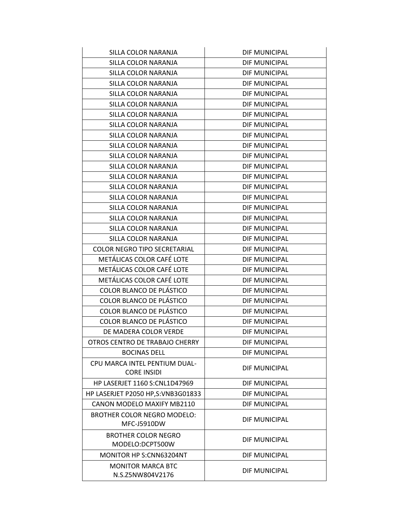| SILLA COLOR NARANJA                                 | DIF MUNICIPAL        |
|-----------------------------------------------------|----------------------|
| SILLA COLOR NARANJA                                 | DIF MUNICIPAL        |
| SILLA COLOR NARANJA                                 | DIF MUNICIPAL        |
| SILLA COLOR NARANJA                                 | DIF MUNICIPAL        |
| SILLA COLOR NARANJA                                 | DIF MUNICIPAL        |
| SILLA COLOR NARANJA                                 | DIF MUNICIPAL        |
| SILLA COLOR NARANJA                                 | DIF MUNICIPAL        |
| SILLA COLOR NARANJA                                 | DIF MUNICIPAL        |
| SILLA COLOR NARANJA                                 | DIF MUNICIPAL        |
| SILLA COLOR NARANJA                                 | DIF MUNICIPAL        |
| SILLA COLOR NARANJA                                 | DIF MUNICIPAL        |
| SILLA COLOR NARANJA                                 | DIF MUNICIPAL        |
| SILLA COLOR NARANJA                                 | DIF MUNICIPAL        |
| SILLA COLOR NARANJA                                 | DIF MUNICIPAL        |
| SILLA COLOR NARANJA                                 | DIF MUNICIPAL        |
| SILLA COLOR NARANJA                                 | DIF MUNICIPAL        |
| SILLA COLOR NARANJA                                 | DIF MUNICIPAL        |
| SILLA COLOR NARANJA                                 | DIF MUNICIPAL        |
| SILLA COLOR NARANJA                                 | DIF MUNICIPAL        |
| <b>COLOR NEGRO TIPO SECRETARIAL</b>                 | DIF MUNICIPAL        |
| METÁLICAS COLOR CAFÉ LOTE                           | DIF MUNICIPAL        |
| METÁLICAS COLOR CAFÉ LOTE                           | DIF MUNICIPAL        |
| METÁLICAS COLOR CAFÉ LOTE                           | DIF MUNICIPAL        |
| COLOR BLANCO DE PLÁSTICO                            | DIF MUNICIPAL        |
| COLOR BLANCO DE PLÁSTICO                            | DIF MUNICIPAL        |
| COLOR BLANCO DE PLÁSTICO                            | DIF MUNICIPAL        |
| COLOR BLANCO DE PLÁSTICO                            | DIF MUNICIPAL        |
| DE MADERA COLOR VERDE                               | DIF MUNICIPAL        |
| OTROS CENTRO DE TRABAJO CHERRY                      | DIF MUNICIPAL        |
| <b>BOCINAS DELL</b>                                 | DIF MUNICIPAL        |
| CPU MARCA INTEL PENTIUM DUAL-<br><b>CORE INSIDI</b> | DIF MUNICIPAL        |
| <b>HP LASERJET 1160 S:CNL1D47969</b>                | DIF MUNICIPAL        |
| HP LASERJET P2050 HP,S:VNB3G01833                   | DIF MUNICIPAL        |
| <b>CANON MODELO MAXIFY MB2110</b>                   | <b>DIF MUNICIPAL</b> |
| <b>BROTHER COLOR NEGRO MODELO:</b><br>MFC-J5910DW   | DIF MUNICIPAL        |
| <b>BROTHER COLOR NEGRO</b><br>MODELO:DCPT500W       | DIF MUNICIPAL        |
| MONITOR HP S:CNN63204NT                             | DIF MUNICIPAL        |
| <b>MONITOR MARCA BTC</b><br>N.S.Z5NW804V2176        | DIF MUNICIPAL        |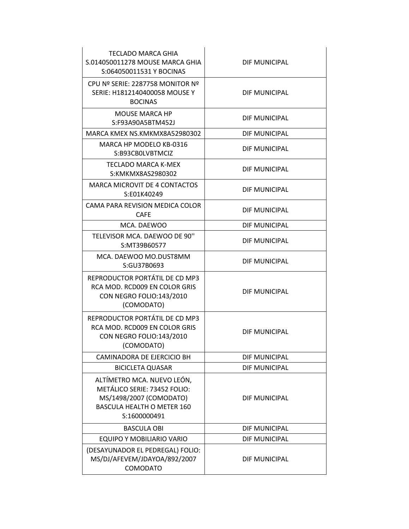| <b>TECLADO MARCA GHIA</b><br>S.014050011278 MOUSE MARCA GHIA<br>S:064050011531 Y BOCINAS                                                   | DIF MUNICIPAL        |
|--------------------------------------------------------------------------------------------------------------------------------------------|----------------------|
| CPU Nº SERIE: 2287758 MONITOR Nº<br>SERIE: H1812140400058 MOUSE Y<br><b>BOCINAS</b>                                                        | DIF MUNICIPAL        |
| <b>MOUSE MARCA HP</b><br>S:F93A90A5BTM452J                                                                                                 | DIF MUNICIPAL        |
| MARCA KMEX NS.KMKMX8A52980302                                                                                                              | DIF MUNICIPAL        |
| MARCA HP MODELO KB-0316<br>S:B93CB0LVBTMCIZ                                                                                                | DIF MUNICIPAL        |
| TECLADO MARCA K-MEX<br>S:KMKMX8AS2980302                                                                                                   | DIF MUNICIPAL        |
| <b>MARCA MICROVIT DE 4 CONTACTOS</b><br>S:E01K40249                                                                                        | DIF MUNICIPAL        |
| CAMA PARA REVISION MEDICA COLOR<br><b>CAFE</b>                                                                                             | DIF MUNICIPAL        |
| MCA. DAEWOO                                                                                                                                | DIF MUNICIPAL        |
| TELEVISOR MCA. DAEWOO DE 90"<br>S:MT39B60577                                                                                               | DIF MUNICIPAL        |
| MCA. DAEWOO MO.DUST8MM<br>S:GU37B0693                                                                                                      | DIF MUNICIPAL        |
| REPRODUCTOR PORTÁTIL DE CD MP3<br>RCA MOD. RCD009 EN COLOR GRIS<br>CON NEGRO FOLIO:143/2010<br>(COMODATO)                                  | DIF MUNICIPAL        |
| REPRODUCTOR PORTÁTIL DE CD MP3<br>RCA MOD. RCD009 EN COLOR GRIS<br>CON NEGRO FOLIO:143/2010<br>(COMODATO)                                  | <b>DIF MUNICIPAL</b> |
| CAMINADORA DE EJERCICIO BH                                                                                                                 | DIF MUNICIPAL        |
| <b>BICICLETA QUASAR</b>                                                                                                                    | DIF MUNICIPAL        |
| ALTÍMETRO MCA. NUEVO LEÓN,<br>METÁLICO SERIE: 73452 FOLIO:<br>MS/1498/2007 (COMODATO)<br><b>BASCULA HEALTH O METER 160</b><br>S:1600000491 | <b>DIF MUNICIPAL</b> |
| <b>BASCULA OBI</b>                                                                                                                         | DIF MUNICIPAL        |
| EQUIPO Y MOBILIARIO VARIO                                                                                                                  | DIF MUNICIPAL        |
| (DESAYUNADOR EL PEDREGAL) FOLIO:<br>MS/DJ/AFEVEM/JDAYOA/892/2007<br>COMODATO                                                               | DIF MUNICIPAL        |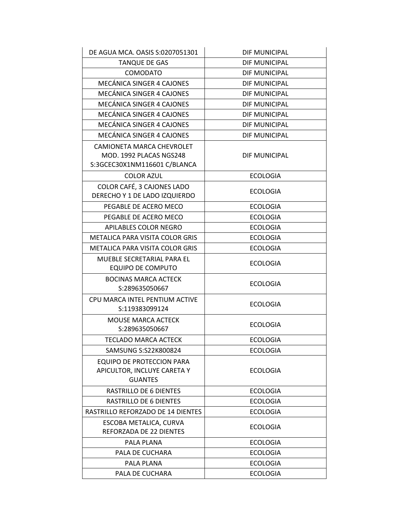| DE AGUA MCA. OASIS S:0207051301                                                      | DIF MUNICIPAL        |
|--------------------------------------------------------------------------------------|----------------------|
| <b>TANQUE DE GAS</b>                                                                 | DIF MUNICIPAL        |
| <b>COMODATO</b>                                                                      | <b>DIF MUNICIPAL</b> |
| MECÁNICA SINGER 4 CAJONES                                                            | DIF MUNICIPAL        |
| MECÁNICA SINGER 4 CAJONES                                                            | <b>DIF MUNICIPAL</b> |
| MECÁNICA SINGER 4 CAJONES                                                            | DIF MUNICIPAL        |
| MECÁNICA SINGER 4 CAJONES                                                            | <b>DIF MUNICIPAL</b> |
| MECÁNICA SINGER 4 CAJONES                                                            | DIF MUNICIPAL        |
| MECÁNICA SINGER 4 CAJONES                                                            | DIF MUNICIPAL        |
| CAMIONETA MARCA CHEVROLET<br>MOD. 1992 PLACAS NGS248<br>S:3GCEC30X1NM116601 C/BLANCA | DIF MUNICIPAL        |
| <b>COLOR AZUL</b>                                                                    | <b>ECOLOGIA</b>      |
| COLOR CAFÉ, 3 CAJONES LADO<br>DERECHO Y 1 DE LADO IZQUIERDO                          | <b>ECOLOGIA</b>      |
| PEGABLE DE ACERO MECO                                                                | <b>ECOLOGIA</b>      |
| PEGABLE DE ACERO MECO                                                                | <b>ECOLOGIA</b>      |
| APILABLES COLOR NEGRO                                                                | <b>ECOLOGIA</b>      |
| METALICA PARA VISITA COLOR GRIS                                                      | <b>ECOLOGIA</b>      |
| METALICA PARA VISITA COLOR GRIS                                                      | <b>ECOLOGIA</b>      |
| MUEBLE SECRETARIAL PARA EL<br><b>EQUIPO DE COMPUTO</b>                               | <b>ECOLOGIA</b>      |
| <b>BOCINAS MARCA ACTECK</b><br>S:289635050667                                        | <b>ECOLOGIA</b>      |
| CPU MARCA INTEL PENTIUM ACTIVE<br>S:119383099124                                     | <b>ECOLOGIA</b>      |
| <b>MOUSE MARCA ACTECK</b><br>S:289635050667                                          | <b>ECOLOGIA</b>      |
| <b>TECLADO MARCA ACTECK</b>                                                          | <b>ECOLOGIA</b>      |
| SAMSUNG S:S22K800824                                                                 | <b>ECOLOGIA</b>      |
| <b>EQUIPO DE PROTECCION PARA</b><br>APICULTOR, INCLUYE CARETA Y<br><b>GUANTES</b>    | <b>ECOLOGIA</b>      |
| RASTRILLO DE 6 DIENTES                                                               | <b>ECOLOGIA</b>      |
| RASTRILLO DE 6 DIENTES                                                               | <b>ECOLOGIA</b>      |
| RASTRILLO REFORZADO DE 14 DIENTES                                                    | <b>ECOLOGIA</b>      |
| ESCOBA METALICA, CURVA<br>REFORZADA DE 22 DIENTES                                    | <b>ECOLOGIA</b>      |
| PALA PLANA                                                                           | <b>ECOLOGIA</b>      |
| PALA DE CUCHARA                                                                      | <b>ECOLOGIA</b>      |
| PALA PLANA                                                                           | <b>ECOLOGIA</b>      |
| PALA DE CUCHARA                                                                      | <b>ECOLOGIA</b>      |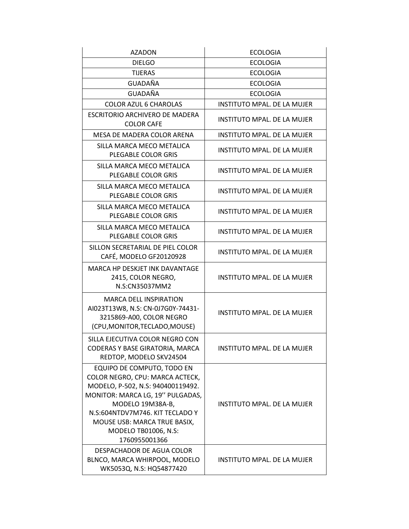| <b>AZADON</b>                                                                                                                                                                                                                                                                 | <b>ECOLOGIA</b>                    |
|-------------------------------------------------------------------------------------------------------------------------------------------------------------------------------------------------------------------------------------------------------------------------------|------------------------------------|
| <b>DIELGO</b>                                                                                                                                                                                                                                                                 | <b>ECOLOGIA</b>                    |
| <b>TIJERAS</b>                                                                                                                                                                                                                                                                | <b>ECOLOGIA</b>                    |
| GUADAÑA                                                                                                                                                                                                                                                                       | <b>ECOLOGIA</b>                    |
| <b>GUADAÑA</b>                                                                                                                                                                                                                                                                | <b>ECOLOGIA</b>                    |
| <b>COLOR AZUL 6 CHAROLAS</b>                                                                                                                                                                                                                                                  | <b>INSTITUTO MPAL. DE LA MUJER</b> |
| ESCRITORIO ARCHIVERO DE MADERA<br><b>COLOR CAFE</b>                                                                                                                                                                                                                           | INSTITUTO MPAL. DE LA MUJER        |
| MESA DE MADERA COLOR ARENA                                                                                                                                                                                                                                                    | <b>INSTITUTO MPAL. DE LA MUJER</b> |
| SILLA MARCA MECO METALICA<br>PLEGABLE COLOR GRIS                                                                                                                                                                                                                              | <b>INSTITUTO MPAL. DE LA MUJER</b> |
| SILLA MARCA MECO METALICA<br>PLEGABLE COLOR GRIS                                                                                                                                                                                                                              | INSTITUTO MPAL. DE LA MUJER        |
| SILLA MARCA MECO METALICA<br>PLEGABLE COLOR GRIS                                                                                                                                                                                                                              | INSTITUTO MPAL, DE LA MUJER        |
| SILLA MARCA MECO METALICA<br>PLEGABLE COLOR GRIS                                                                                                                                                                                                                              | INSTITUTO MPAL. DE LA MUJER        |
| SILLA MARCA MECO METALICA<br>PLEGABLE COLOR GRIS                                                                                                                                                                                                                              | INSTITUTO MPAL. DE LA MUJER        |
| SILLON SECRETARIAL DE PIEL COLOR<br>CAFÉ, MODELO GF20120928                                                                                                                                                                                                                   | <b>INSTITUTO MPAL. DE LA MUJER</b> |
| MARCA HP DESKJET INK DAVANTAGE<br>2415, COLOR NEGRO,<br>N.S:CN35037MM2                                                                                                                                                                                                        | INSTITUTO MPAL. DE LA MUJER        |
| <b>MARCA DELL INSPIRATION</b><br>AI023T13W8, N.S: CN-0J7G0Y-74431-<br>3215869-A00, COLOR NEGRO<br>(CPU, MONITOR, TECLADO, MOUSE)                                                                                                                                              | <b>INSTITUTO MPAL, DE LA MUJER</b> |
| SILLA EJECUTIVA COLOR NEGRO CON<br>CODERAS Y BASE GIRATORIA, MARCA<br>REDTOP, MODELO SKV24504                                                                                                                                                                                 | INSTITUTO MPAL. DE LA MUJER        |
| EQUIPO DE COMPUTO, TODO EN<br>COLOR NEGRO, CPU: MARCA ACTECK,<br>MODELO, P-502, N.S: 940400119492.<br>MONITOR: MARCA LG, 19" PULGADAS,<br>MODELO 19M38A-B,<br>N.S:604NTDV7M746. KIT TECLADO Y<br>MOUSE USB: MARCA TRUE BASIX,<br><b>MODELO TB01006, N.S:</b><br>1760955001366 | INSTITUTO MPAL. DE LA MUJER        |
| DESPACHADOR DE AGUA COLOR<br>BLNCO, MARCA WHIRPOOL, MODELO<br>WK5053Q, N.S: HQ54877420                                                                                                                                                                                        | INSTITUTO MPAL. DE LA MUJER        |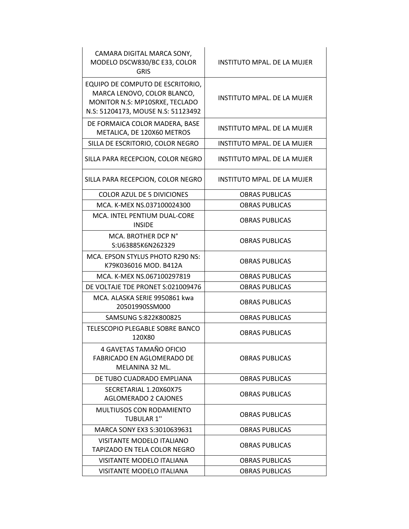| CAMARA DIGITAL MARCA SONY,<br>MODELO DSCW830/BC E33, COLOR<br><b>GRIS</b>                                                               | <b>INSTITUTO MPAL. DE LA MUJER</b> |
|-----------------------------------------------------------------------------------------------------------------------------------------|------------------------------------|
| EQUIPO DE COMPUTO DE ESCRITORIO,<br>MARCA LENOVO, COLOR BLANCO,<br>MONITOR N.S: MP10SRXE, TECLADO<br>N.S: 51204173, MOUSE N.S: 51123492 | <b>INSTITUTO MPAL, DE LA MUJER</b> |
| DE FORMAICA COLOR MADERA, BASE<br>METALICA, DE 120X60 METROS                                                                            | INSTITUTO MPAL, DE LA MUJER        |
| SILLA DE ESCRITORIO, COLOR NEGRO                                                                                                        | <b>INSTITUTO MPAL, DE LA MUJER</b> |
| SILLA PARA RECEPCION, COLOR NEGRO                                                                                                       | INSTITUTO MPAL. DE LA MUJER        |
| SILLA PARA RECEPCION, COLOR NEGRO                                                                                                       | INSTITUTO MPAL. DE LA MUJER        |
| <b>COLOR AZUL DE 5 DIVICIONES</b>                                                                                                       | <b>OBRAS PUBLICAS</b>              |
| MCA. K-MEX NS.037100024300                                                                                                              | <b>OBRAS PUBLICAS</b>              |
| MCA. INTEL PENTIUM DUAL-CORE<br><b>INSIDE</b>                                                                                           | <b>OBRAS PUBLICAS</b>              |
| MCA. BROTHER DCP N°<br>S:U63885K6N262329                                                                                                | <b>OBRAS PUBLICAS</b>              |
| MCA. EPSON STYLUS PHOTO R290 NS:<br>K79K036016 MOD. B412A                                                                               | <b>OBRAS PUBLICAS</b>              |
| MCA. K-MEX NS.067100297819                                                                                                              | <b>OBRAS PUBLICAS</b>              |
| DE VOLTAJE TDE PRONET S:021009476                                                                                                       | <b>OBRAS PUBLICAS</b>              |
| MCA. ALASKA SERIE 9950861 kwa<br>20501990SSM000                                                                                         | <b>OBRAS PUBLICAS</b>              |
| SAMSUNG S:822K800825                                                                                                                    | <b>OBRAS PUBLICAS</b>              |
| TELESCOPIO PLEGABLE SOBRE BANCO<br>120X80                                                                                               | <b>OBRAS PUBLICAS</b>              |
| 4 GAVETAS TAMAÑO OFICIO<br><b>FABRICADO EN AGLOMERADO DE</b><br>MELANINA 32 ML.                                                         | OBRAS PUBLICAS                     |
| DE TUBO CUADRADO EMPLIANA                                                                                                               | <b>OBRAS PUBLICAS</b>              |
| SECRETARIAL 1.20X60X75<br><b>AGLOMERADO 2 CAJONES</b>                                                                                   | <b>OBRAS PUBLICAS</b>              |
| <b>MULTIUSOS CON RODAMIENTO</b><br><b>TUBULAR 1"</b>                                                                                    | <b>OBRAS PUBLICAS</b>              |
| MARCA SONY EX3 S:3010639631                                                                                                             | <b>OBRAS PUBLICAS</b>              |
| VISITANTE MODELO ITALIANO<br>TAPIZADO EN TELA COLOR NEGRO                                                                               | <b>OBRAS PUBLICAS</b>              |
| VISITANTE MODELO ITALIANA                                                                                                               | <b>OBRAS PUBLICAS</b>              |
| <b>VISITANTE MODELO ITALIANA</b>                                                                                                        | <b>OBRAS PUBLICAS</b>              |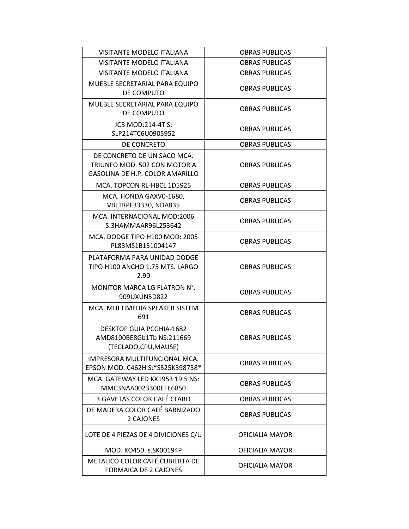| <b>VISITANTE MODELO ITALIANA</b>                                                               | <b>OBRAS PUBLICAS</b>  |
|------------------------------------------------------------------------------------------------|------------------------|
| <b>VISITANTE MODELO ITALIANA</b>                                                               | <b>OBRAS PUBLICAS</b>  |
| <b>VISITANTE MODELO ITALIANA</b>                                                               | <b>OBRAS PUBLICAS</b>  |
| MUEBLE SECRETARIAL PARA EQUIPO<br>DE COMPUTO                                                   | <b>OBRAS PUBLICAS</b>  |
| MUEBLE SECRETARIAL PARA EQUIPO<br>DE COMPUTO                                                   | <b>OBRAS PUBLICAS</b>  |
| <b>JCB MOD:214-4T S:</b><br>SLP214TC6U0905952                                                  | <b>OBRAS PUBLICAS</b>  |
| DE CONCRETO                                                                                    | <b>OBRAS PUBLICAS</b>  |
| DE CONCRETO DE UN SACO MCA.<br>TRIUNFO MOD. 502 CON MOTOR A<br>GASOLINA DE H.P. COLOR AMARILLO | <b>OBRAS PUBLICAS</b>  |
| MCA. TOPCON RL-HBCL 1D5925                                                                     | <b>OBRAS PUBLICAS</b>  |
| MCA. HONDA GAXV0-1680,<br>VBLTRPF33330, NDA835                                                 | <b>OBRAS PUBLICAS</b>  |
| MCA. INTERNACIONAL MOD:2006<br>S:3HAMMAAR96L253642                                             | <b>OBRAS PUBLICAS</b>  |
| MCA. DODGE TIPO H100 MOD: 2005<br>PL83MS1B151004147                                            | <b>OBRAS PUBLICAS</b>  |
| PLATAFORMA PARA UNIDAD DODGE<br>TIPO H100 ANCHO 1.75 MTS. LARGO<br>2.90                        | <b>OBRAS PUBLICAS</b>  |
| MONITOR MARCA LG FLATRON N°.<br>909UXUN5D822                                                   | <b>OBRAS PUBLICAS</b>  |
| MCA. MULTIMEDIA SPEAKER SISTEM<br>691                                                          | <b>OBRAS PUBLICAS</b>  |
| <b>DESKTOP GUIA PCGHIA-1682</b><br>AMD8100BE8Gb1Tb NS:211669<br>(TECLADO,CPU,MAUSE)            | <b>OBRAS PUBLICAS</b>  |
| IMPRESORA MULTIFUNCIONAL MCA.<br>EPSON MOD. C462H S:*S525K398758*                              | <b>OBRAS PUBLICAS</b>  |
| MCA. GATEWAY LED KX1953 19.5 NS:<br>MMC3NAA0023300EFE6850                                      | <b>OBRAS PUBLICAS</b>  |
| 3 GAVETAS COLOR CAFÉ CLARO                                                                     | <b>OBRAS PUBLICAS</b>  |
| DE MADERA COLOR CAFÉ BARNIZADO<br>2 CAJONES                                                    | <b>OBRAS PUBLICAS</b>  |
| LOTE DE 4 PIEZAS DE 4 DIVICIONES C/U                                                           | OFICIALIA MAYOR        |
| MOD. KO450. s.SK00194P                                                                         | <b>OFICIALIA MAYOR</b> |
| METALICO COLOR CAFÉ CUBIERTA DE<br><b>FORMAICA DE 2 CAJONES</b>                                | OFICIALIA MAYOR        |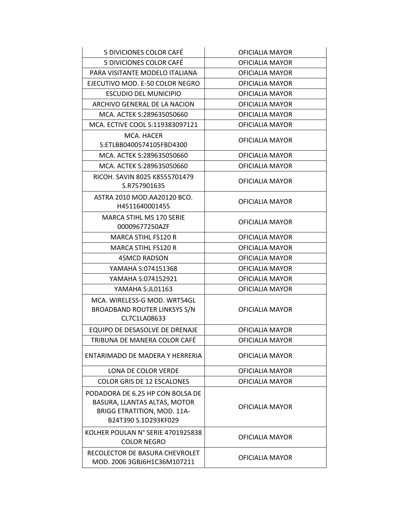| 5 DIVICIONES COLOR CAFÉ                                                                                                 | OFICIALIA MAYOR        |
|-------------------------------------------------------------------------------------------------------------------------|------------------------|
| 5 DIVICIONES COLOR CAFÉ                                                                                                 | OFICIALIA MAYOR        |
| PARA VISITANTE MODELO ITALIANA                                                                                          | OFICIALIA MAYOR        |
| EJECUTIVO MOD. E-50 COLOR NEGRO                                                                                         | OFICIALIA MAYOR        |
| <b>ESCUDIO DEL MUNICIPIO</b>                                                                                            | OFICIALIA MAYOR        |
| ARCHIVO GENERAL DE LA NACION                                                                                            | OFICIALIA MAYOR        |
| MCA. ACTEK S:289635050660                                                                                               | OFICIALIA MAYOR        |
| MCA. ECTIVE COOL S:119383097121                                                                                         | OFICIALIA MAYOR        |
| MCA. HACER<br>S:ETLBB0400574105FBD4300                                                                                  | OFICIALIA MAYOR        |
| MCA. ACTEK S:289635050660                                                                                               | OFICIALIA MAYOR        |
| MCA. ACTEK S:289635050660                                                                                               | OFICIALIA MAYOR        |
| RICOH. SAVIN 8025 K8555701479<br>S.R757901635                                                                           | OFICIALIA MAYOR        |
| ASTRA 2010 MOD.AA20120 BCO.<br>H4511640001455                                                                           | OFICIALIA MAYOR        |
| <b>MARCA STIHL MS 170 SERIE</b><br>00009677250AZF                                                                       | OFICIALIA MAYOR        |
| MARCA STIHL FS120 R                                                                                                     | <b>OFICIALIA MAYOR</b> |
| <b>MARCA STIHL FS120 R</b>                                                                                              | OFICIALIA MAYOR        |
| 45MCD RADSON                                                                                                            | <b>OFICIALIA MAYOR</b> |
| YAMAHA S:074151368                                                                                                      | OFICIALIA MAYOR        |
| YAMAHA S:074152921                                                                                                      | OFICIALIA MAYOR        |
| YAMAHA S:JL01163                                                                                                        | OFICIALIA MAYOR        |
| MCA. WIRELESS-G MOD. WRT54GL<br><b>BROADBAND ROUTER LINKSYS S/N</b><br>CL7C1LA08633                                     | OFICIALIA MAYOR        |
| EQUIPO DE DESASOLVE DE DRENAJE                                                                                          | <b>OFICIALIA MAYOR</b> |
| TRIBUNA DE MANERA COLOR CAFÉ                                                                                            | <b>OFICIALIA MAYOR</b> |
| ENTARIMADO DE MADERA Y HERRERIA                                                                                         | OFICIALIA MAYOR        |
| LONA DE COLOR VERDE                                                                                                     | OFICIALIA MAYOR        |
| <b>COLOR GRIS DE 12 ESCALONES</b>                                                                                       | OFICIALIA MAYOR        |
| PODADORA DE 6.25 HP CON BOLSA DE<br>BASURA, LLANTAS ALTAS, MOTOR<br>BRIGG ETRATITION, MOD. 11A-<br>B24T390 S.1D293KF029 | OFICIALIA MAYOR        |
| KOLHER POULAN N° SERIE 4701925838<br><b>COLOR NEGRO</b>                                                                 | OFICIALIA MAYOR        |
| RECOLECTOR DE BASURA CHEVROLET<br>MOD. 2006 3GBJ6H1C36M107211                                                           | OFICIALIA MAYOR        |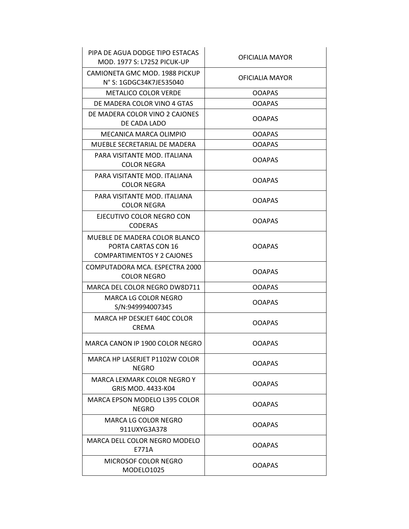| PIPA DE AGUA DODGE TIPO ESTACAS<br><b>MOD. 1977 S: L7252 PICUK-UP</b>                     | OFICIALIA MAYOR |
|-------------------------------------------------------------------------------------------|-----------------|
| CAMIONETA GMC MOD. 1988 PICKUP<br>N° S: 1GDGC34K7JE535040                                 | OFICIALIA MAYOR |
| <b>METALICO COLOR VERDE</b>                                                               | <b>OOAPAS</b>   |
| DE MADERA COLOR VINO 4 GTAS                                                               | <b>OOAPAS</b>   |
| DE MADERA COLOR VINO 2 CAJONES<br>DE CADA LADO                                            | <b>OOAPAS</b>   |
| MECANICA MARCA OLIMPIO                                                                    | <b>OOAPAS</b>   |
| MUEBLE SECRETARIAL DE MADERA                                                              | <b>OOAPAS</b>   |
| PARA VISITANTE MOD. ITALIANA<br><b>COLOR NEGRA</b>                                        | <b>OOAPAS</b>   |
| PARA VISITANTE MOD. ITALIANA<br><b>COLOR NEGRA</b>                                        | <b>OOAPAS</b>   |
| PARA VISITANTE MOD. ITALIANA<br><b>COLOR NEGRA</b>                                        | <b>OOAPAS</b>   |
| EJECUTIVO COLOR NEGRO CON<br><b>CODERAS</b>                                               | <b>OOAPAS</b>   |
| MUEBLE DE MADERA COLOR BLANCO<br>PORTA CARTAS CON 16<br><b>COMPARTIMENTOS Y 2 CAJONES</b> | <b>OOAPAS</b>   |
| COMPUTADORA MCA. ESPECTRA 2000<br><b>COLOR NEGRO</b>                                      | <b>OOAPAS</b>   |
| MARCA DEL COLOR NEGRO DW8D711                                                             | <b>OOAPAS</b>   |
| MARCA LG COLOR NEGRO<br>S/N:949994007345                                                  | <b>OOAPAS</b>   |
| MARCA HP DESKJET 640C COLOR<br><b>CREMA</b>                                               | <b>OOAPAS</b>   |
| MARCA CANON IP 1900 COLOR NEGRO                                                           | <b>OOAPAS</b>   |
| MARCA HP LASERJET P1102W COLOR<br>NEGRO                                                   | <b>OOAPAS</b>   |
| MARCA LEXMARK COLOR NEGRO Y<br>GRIS MOD. 4433-K04                                         | <b>OOAPAS</b>   |
| MARCA EPSON MODELO L395 COLOR<br><b>NEGRO</b>                                             | <b>OOAPAS</b>   |
| MARCA LG COLOR NEGRO<br>911UXYG3A378                                                      | <b>OOAPAS</b>   |
| MARCA DELL COLOR NEGRO MODELO<br>E771A                                                    | <b>OOAPAS</b>   |
| MICROSOF COLOR NEGRO<br>MODELO1025                                                        | <b>OOAPAS</b>   |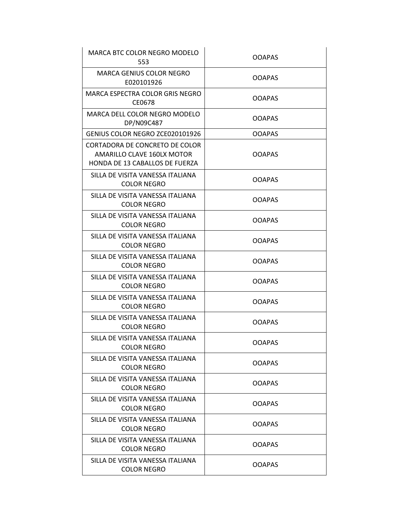| MARCA BTC COLOR NEGRO MODELO<br>553                                                            | <b>OOAPAS</b> |
|------------------------------------------------------------------------------------------------|---------------|
| MARCA GENIUS COLOR NEGRO<br>E020101926                                                         | <b>OOAPAS</b> |
| MARCA ESPECTRA COLOR GRIS NEGRO<br>CE0678                                                      | <b>OOAPAS</b> |
| MARCA DELL COLOR NEGRO MODELO<br>DP/N09C487                                                    | <b>OOAPAS</b> |
| GENIUS COLOR NEGRO ZCE020101926                                                                | <b>OOAPAS</b> |
| CORTADORA DE CONCRETO DE COLOR<br>AMARILLO CLAVE 160LX MOTOR<br>HONDA DE 13 CABALLOS DE FUERZA | <b>OOAPAS</b> |
| SILLA DE VISITA VANESSA ITALIANA<br><b>COLOR NEGRO</b>                                         | <b>OOAPAS</b> |
| SILLA DE VISITA VANESSA ITALIANA<br><b>COLOR NEGRO</b>                                         | <b>OOAPAS</b> |
| SILLA DE VISITA VANESSA ITALIANA<br><b>COLOR NEGRO</b>                                         | <b>OOAPAS</b> |
| SILLA DE VISITA VANESSA ITALIANA<br><b>COLOR NEGRO</b>                                         | <b>OOAPAS</b> |
| SILLA DE VISITA VANESSA ITALIANA<br><b>COLOR NEGRO</b>                                         | <b>OOAPAS</b> |
| SILLA DE VISITA VANESSA ITALIANA<br><b>COLOR NEGRO</b>                                         | <b>OOAPAS</b> |
| SILLA DE VISITA VANESSA ITALIANA<br><b>COLOR NEGRO</b>                                         | <b>OOAPAS</b> |
| SILLA DE VISITA VANESSA ITALIANA<br><b>COLOR NEGRO</b>                                         | <b>OOAPAS</b> |
| SILLA DE VISITA VANESSA ITALIANA<br>COLOR NEGRO                                                | <b>OOAPAS</b> |
| SILLA DE VISITA VANESSA ITALIANA<br><b>COLOR NEGRO</b>                                         | <b>OOAPAS</b> |
| SILLA DE VISITA VANESSA ITALIANA<br><b>COLOR NEGRO</b>                                         | <b>OOAPAS</b> |
| SILLA DE VISITA VANESSA ITALIANA<br><b>COLOR NEGRO</b>                                         | <b>OOAPAS</b> |
| SILLA DE VISITA VANESSA ITALIANA<br><b>COLOR NEGRO</b>                                         | <b>OOAPAS</b> |
| SILLA DE VISITA VANESSA ITALIANA<br><b>COLOR NEGRO</b>                                         | <b>OOAPAS</b> |
| SILLA DE VISITA VANESSA ITALIANA<br><b>COLOR NEGRO</b>                                         | <b>OOAPAS</b> |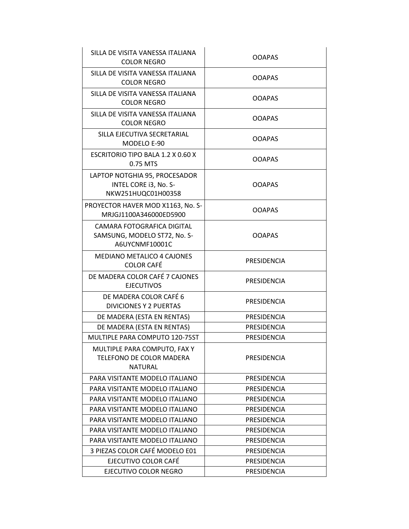| SILLA DE VISITA VANESSA ITALIANA<br><b>COLOR NEGRO</b>                       | <b>OOAPAS</b>      |
|------------------------------------------------------------------------------|--------------------|
| SILLA DE VISITA VANESSA ITALIANA<br><b>COLOR NEGRO</b>                       | <b>OOAPAS</b>      |
| SILLA DE VISITA VANESSA ITALIANA<br><b>COLOR NEGRO</b>                       | <b>OOAPAS</b>      |
| SILLA DE VISITA VANESSA ITALIANA<br><b>COLOR NEGRO</b>                       | <b>OOAPAS</b>      |
| SILLA EJECUTIVA SECRETARIAL<br>MODELO E-90                                   | <b>OOAPAS</b>      |
| <b>ESCRITORIO TIPO BALA 1.2 X 0.60 X</b><br>0.75 MTS                         | <b>OOAPAS</b>      |
| LAPTOP NOTGHIA 95, PROCESADOR<br>INTEL CORE i3, No. S-<br>NKW251HUQC01H00358 | <b>OOAPAS</b>      |
| PROYECTOR HAVER MOD X1163, No. S-<br>MRJGJ1100A346000ED5900                  | <b>OOAPAS</b>      |
| CAMARA FOTOGRAFICA DIGITAL<br>SAMSUNG, MODELO ST72, No. S-<br>A6UYCNMF10001C | <b>OOAPAS</b>      |
| MEDIANO METALICO 4 CAJONES<br><b>COLOR CAFÉ</b>                              | PRESIDENCIA        |
| DE MADERA COLOR CAFÉ 7 CAJONES<br><b>EJECUTIVOS</b>                          | PRESIDENCIA        |
| DE MADERA COLOR CAFÉ 6<br><b>DIVICIONES Y 2 PUERTAS</b>                      | PRESIDENCIA        |
| DE MADERA (ESTA EN RENTAS)                                                   | <b>PRESIDENCIA</b> |
| DE MADERA (ESTA EN RENTAS)                                                   | PRESIDENCIA        |
| MULTIPLE PARA COMPUTO 120-75ST                                               | <b>PRESIDENCIA</b> |
| MULTIPLE PARA COMPUTO, FAX Y<br>TELEFONO DE COLOR MADERA<br><b>NATURAL</b>   | <b>PRESIDENCIA</b> |
| PARA VISITANTE MODELO ITALIANO                                               | PRESIDENCIA        |
| PARA VISITANTE MODELO ITALIANO                                               | PRESIDENCIA        |
| PARA VISITANTE MODELO ITALIANO                                               | PRESIDENCIA        |
| PARA VISITANTE MODELO ITALIANO                                               | PRESIDENCIA        |
| PARA VISITANTE MODELO ITALIANO                                               | PRESIDENCIA        |
| PARA VISITANTE MODELO ITALIANO                                               | PRESIDENCIA        |
| PARA VISITANTE MODELO ITALIANO                                               | PRESIDENCIA        |
| 3 PIEZAS COLOR CAFÉ MODELO E01                                               | PRESIDENCIA        |
| EJECUTIVO COLOR CAFÉ                                                         | PRESIDENCIA        |
| EJECUTIVO COLOR NEGRO                                                        | PRESIDENCIA        |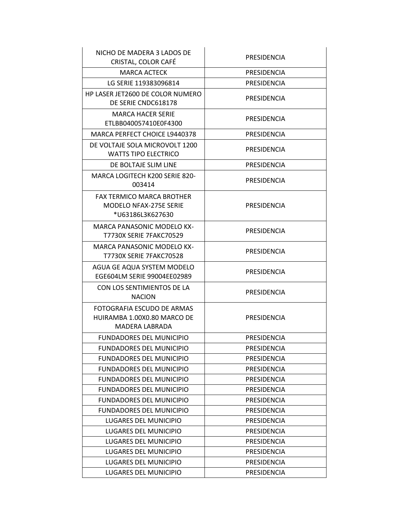| NICHO DE MADERA 3 LADOS DE<br>CRISTAL, COLOR CAFÉ                                     | <b>PRESIDENCIA</b> |
|---------------------------------------------------------------------------------------|--------------------|
| <b>MARCA ACTECK</b>                                                                   | PRESIDENCIA        |
| LG SERIE 119383096814                                                                 | PRESIDENCIA        |
| HP LASER JET2600 DE COLOR NUMERO<br>DE SERIE CNDC618178                               | <b>PRESIDENCIA</b> |
| <b>MARCA HACER SERIE</b><br>ETLBB040057410E0F4300                                     | <b>PRESIDENCIA</b> |
| MARCA PERFECT CHOICE L9440378                                                         | <b>PRESIDENCIA</b> |
| DE VOLTAJE SOLA MICROVOLT 1200<br><b>WATTS TIPO ELECTRICO</b>                         | PRESIDENCIA        |
| DE BOLTAJE SLIM LINE                                                                  | PRESIDENCIA        |
| MARCA LOGITECH K200 SERIE 820-<br>003414                                              | <b>PRESIDENCIA</b> |
| <b>FAX TERMICO MARCA BROTHER</b><br><b>MODELO NFAX-275E SERIE</b><br>*U63186L3K627630 | PRESIDENCIA        |
| <b>MARCA PANASONIC MODELO KX-</b><br><b>T7730X SERIE 7FAKC70529</b>                   | <b>PRESIDENCIA</b> |
| <b>MARCA PANASONIC MODELO KX-</b><br><b>T7730X SERIE 7FAKC70528</b>                   | PRESIDENCIA        |
| AGUA GE AQUA SYSTEM MODELO<br>EGE604LM SERIE 99004EE02989                             | PRESIDENCIA        |
| CON LOS SENTIMIENTOS DE LA<br><b>NACION</b>                                           | PRESIDENCIA        |
| FOTOGRAFIA ESCUDO DE ARMAS<br>HUIRAMBA 1.00X0.80 MARCO DE<br><b>MADERA LABRADA</b>    | PRESIDENCIA        |
| FUNDADORES DEL MUNICIPIO                                                              | <b>PRESIDENCIA</b> |
| FUNDADORES DEL MUNICIPIO                                                              | PRESIDENCIA        |
| <b>FUNDADORES DEL MUNICIPIO</b>                                                       | PRESIDENCIA        |
| <b>FUNDADORES DEL MUNICIPIO</b>                                                       | PRESIDENCIA        |
| <b>FUNDADORES DEL MUNICIPIO</b>                                                       | PRESIDENCIA        |
| <b>FUNDADORES DEL MUNICIPIO</b>                                                       | <b>PRESIDENCIA</b> |
| <b>FUNDADORES DEL MUNICIPIO</b>                                                       | PRESIDENCIA        |
| <b>FUNDADORES DEL MUNICIPIO</b>                                                       | <b>PRESIDENCIA</b> |
| <b>LUGARES DEL MUNICIPIO</b>                                                          | PRESIDENCIA        |
| LUGARES DEL MUNICIPIO                                                                 | PRESIDENCIA        |
| LUGARES DEL MUNICIPIO                                                                 | <b>PRESIDENCIA</b> |
| LUGARES DEL MUNICIPIO                                                                 | PRESIDENCIA        |
| LUGARES DEL MUNICIPIO                                                                 | PRESIDENCIA        |
| LUGARES DEL MUNICIPIO                                                                 | PRESIDENCIA        |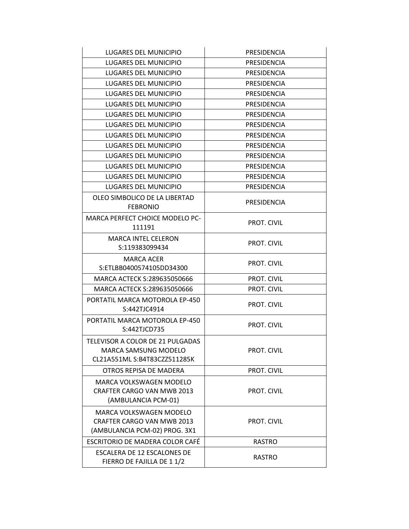| <b>LUGARES DEL MUNICIPIO</b>                                                             | PRESIDENCIA        |
|------------------------------------------------------------------------------------------|--------------------|
| LUGARES DEL MUNICIPIO                                                                    | <b>PRESIDENCIA</b> |
| LUGARES DEL MUNICIPIO                                                                    | PRESIDENCIA        |
| LUGARES DEL MUNICIPIO                                                                    | PRESIDENCIA        |
| LUGARES DEL MUNICIPIO                                                                    | PRESIDENCIA        |
| LUGARES DEL MUNICIPIO                                                                    | PRESIDENCIA        |
| LUGARES DEL MUNICIPIO                                                                    | PRESIDENCIA        |
| LUGARES DEL MUNICIPIO                                                                    | <b>PRESIDENCIA</b> |
| LUGARES DEL MUNICIPIO                                                                    | PRESIDENCIA        |
| LUGARES DEL MUNICIPIO                                                                    | <b>PRESIDENCIA</b> |
| LUGARES DEL MUNICIPIO                                                                    | PRESIDENCIA        |
| LUGARES DEL MUNICIPIO                                                                    | PRESIDENCIA        |
| LUGARES DEL MUNICIPIO                                                                    | PRESIDENCIA        |
| LUGARES DEL MUNICIPIO                                                                    | <b>PRESIDENCIA</b> |
| OLEO SIMBOLICO DE LA LIBERTAD<br><b>FEBRONIO</b>                                         | PRESIDENCIA        |
| <b>MARCA PERFECT CHOICE MODELO PC-</b><br>111191                                         | <b>PROT. CIVIL</b> |
| <b>MARCA INTEL CELERON</b><br>S:119383099434                                             | <b>PROT. CIVIL</b> |
| <b>MARCA ACER</b><br>S:ETLBB0400574105DD34300                                            | <b>PROT. CIVIL</b> |
| MARCA ACTECK S:289635050666                                                              | PROT. CIVIL        |
| MARCA ACTECK S:289635050666                                                              | <b>PROT. CIVIL</b> |
| PORTATIL MARCA MOTOROLA EP-450<br>S:442TJC4914                                           | <b>PROT. CIVIL</b> |
| PORTATIL MARCA MOTOROLA EP-450<br>S:442TJCD735                                           | <b>PROT. CIVIL</b> |
| TELEVISOR A COLOR DE 21 PULGADAS<br>MARCA SAMSUNG MODELO<br>CL21A551ML S:B4T83CZZ511285K | PROT. CIVIL        |
| OTROS REPISA DE MADERA                                                                   | PROT. CIVIL        |
| MARCA VOLKSWAGEN MODELO<br><b>CRAFTER CARGO VAN MWB 2013</b><br>(AMBULANCIA PCM-01)      | PROT. CIVIL        |
| MARCA VOLKSWAGEN MODELO<br>CRAFTER CARGO VAN MWB 2013<br>(AMBULANCIA PCM-02) PROG. 3X1   | PROT. CIVIL        |
| ESCRITORIO DE MADERA COLOR CAFÉ                                                          | <b>RASTRO</b>      |
| ESCALERA DE 12 ESCALONES DE<br>FIERRO DE FAJILLA DE 11/2                                 | <b>RASTRO</b>      |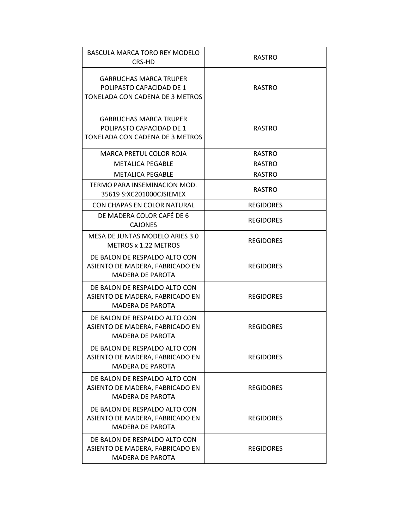| BASCULA MARCA TORO REY MODELO<br>CRS-HD                                                      | <b>RASTRO</b>    |
|----------------------------------------------------------------------------------------------|------------------|
| <b>GARRUCHAS MARCA TRUPER</b><br>POLIPASTO CAPACIDAD DE 1<br>TONELADA CON CADENA DE 3 METROS | <b>RASTRO</b>    |
| <b>GARRUCHAS MARCA TRUPER</b><br>POLIPASTO CAPACIDAD DE 1<br>TONELADA CON CADENA DE 3 METROS | <b>RASTRO</b>    |
| MARCA PRETUL COLOR ROJA                                                                      | <b>RASTRO</b>    |
| <b>METALICA PEGABLE</b>                                                                      | <b>RASTRO</b>    |
| <b>METALICA PEGABLE</b>                                                                      | <b>RASTRO</b>    |
| TERMO PARA INSEMINACION MOD.<br>35619 S:XC201000CJSIEMEX                                     | <b>RASTRO</b>    |
| CON CHAPAS EN COLOR NATURAL                                                                  | <b>REGIDORES</b> |
| DE MADERA COLOR CAFÉ DE 6<br><b>CAIONES</b>                                                  | <b>REGIDORES</b> |
| MESA DE JUNTAS MODELO ARIES 3.0<br>METROS x 1.22 METROS                                      | <b>REGIDORES</b> |
| DE BALON DE RESPALDO ALTO CON<br>ASIENTO DE MADERA, FABRICADO EN<br><b>MADERA DE PAROTA</b>  | <b>REGIDORES</b> |
| DE BALON DE RESPALDO ALTO CON<br>ASIENTO DE MADERA, FABRICADO EN<br><b>MADERA DE PAROTA</b>  | <b>REGIDORES</b> |
| DE BALON DE RESPALDO ALTO CON<br>ASIENTO DE MADERA, FABRICADO EN<br><b>MADERA DE PAROTA</b>  | <b>REGIDORES</b> |
| DE BALON DE RESPALDO ALTO CON<br>ASIENTO DE MADERA, FABRICADO EN<br><b>MADERA DE PAROTA</b>  | <b>REGIDORES</b> |
| DE BALON DE RESPALDO ALTO CON<br>ASIENTO DE MADERA, FABRICADO EN<br><b>MADERA DE PAROTA</b>  | <b>REGIDORES</b> |
| DE BALON DE RESPALDO ALTO CON<br>ASIENTO DE MADERA, FABRICADO EN<br><b>MADERA DE PAROTA</b>  | <b>REGIDORES</b> |
| DE BALON DE RESPALDO ALTO CON<br>ASIENTO DE MADERA, FABRICADO EN<br><b>MADERA DE PAROTA</b>  | <b>REGIDORES</b> |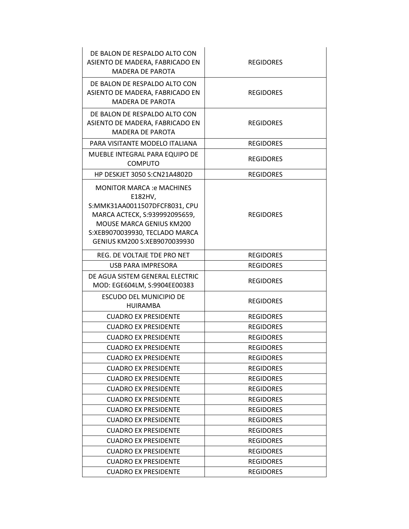| DE BALON DE RESPALDO ALTO CON<br>ASIENTO DE MADERA, FABRICADO EN<br><b>MADERA DE PAROTA</b>                                                                                                                         | <b>REGIDORES</b> |
|---------------------------------------------------------------------------------------------------------------------------------------------------------------------------------------------------------------------|------------------|
| DE BALON DE RESPALDO ALTO CON<br>ASIENTO DE MADERA, FABRICADO EN<br><b>MADERA DE PAROTA</b>                                                                                                                         | <b>REGIDORES</b> |
| DE BALON DE RESPALDO ALTO CON<br>ASIENTO DE MADERA, FABRICADO EN<br><b>MADERA DE PAROTA</b>                                                                                                                         | <b>REGIDORES</b> |
| PARA VISITANTE MODELO ITALIANA                                                                                                                                                                                      | <b>REGIDORES</b> |
| MUEBLE INTEGRAL PARA EQUIPO DE<br><b>COMPUTO</b>                                                                                                                                                                    | <b>REGIDORES</b> |
| <b>HP DESKJET 3050 S:CN21A4802D</b>                                                                                                                                                                                 | <b>REGIDORES</b> |
| <b>MONITOR MARCA : e MACHINES</b><br>E182HV,<br>S:MMK31AA0011507DFCF8031, CPU<br>MARCA ACTECK, S:939992095659,<br><b>MOUSE MARCA GENIUS KM200</b><br>S:XEB9070039930, TECLADO MARCA<br>GENIUS KM200 S:XEB9070039930 | <b>REGIDORES</b> |
| REG. DE VOLTAJE TDE PRO NET                                                                                                                                                                                         | <b>REGIDORES</b> |
| <b>USB PARA IMPRESORA</b>                                                                                                                                                                                           | <b>REGIDORES</b> |
| DE AGUA SISTEM GENERAL ELECTRIC<br>MOD: EGE604LM, S:9904EE00383                                                                                                                                                     | <b>REGIDORES</b> |
| <b>ESCUDO DEL MUNICIPIO DE</b><br><b>HUIRAMBA</b>                                                                                                                                                                   | <b>REGIDORES</b> |
| <b>CUADRO EX PRESIDENTE</b>                                                                                                                                                                                         | <b>REGIDORES</b> |
| <b>CUADRO EX PRESIDENTE</b>                                                                                                                                                                                         | <b>REGIDORES</b> |
| <b>CUADRO EX PRESIDENTE</b>                                                                                                                                                                                         | <b>REGIDORES</b> |
| <b>CUADRO EX PRESIDENTE</b>                                                                                                                                                                                         | <b>REGIDORES</b> |
| <b>CUADRO EX PRESIDENTE</b>                                                                                                                                                                                         | <b>REGIDORES</b> |
| <b>CUADRO EX PRESIDENTE</b>                                                                                                                                                                                         | <b>REGIDORES</b> |
| <b>CUADRO EX PRESIDENTE</b>                                                                                                                                                                                         | <b>REGIDORES</b> |
| <b>CUADRO EX PRESIDENTE</b>                                                                                                                                                                                         | <b>REGIDORES</b> |
| <b>CUADRO EX PRESIDENTE</b>                                                                                                                                                                                         | <b>REGIDORES</b> |
| <b>CUADRO EX PRESIDENTE</b>                                                                                                                                                                                         | <b>REGIDORES</b> |
| <b>CUADRO EX PRESIDENTE</b>                                                                                                                                                                                         | <b>REGIDORES</b> |
| <b>CUADRO EX PRESIDENTE</b>                                                                                                                                                                                         | <b>REGIDORES</b> |
| <b>CUADRO EX PRESIDENTE</b>                                                                                                                                                                                         | <b>REGIDORES</b> |
| <b>CUADRO EX PRESIDENTE</b>                                                                                                                                                                                         | <b>REGIDORES</b> |
| <b>CUADRO EX PRESIDENTE</b>                                                                                                                                                                                         | <b>REGIDORES</b> |
| <b>CUADRO EX PRESIDENTE</b>                                                                                                                                                                                         | <b>REGIDORES</b> |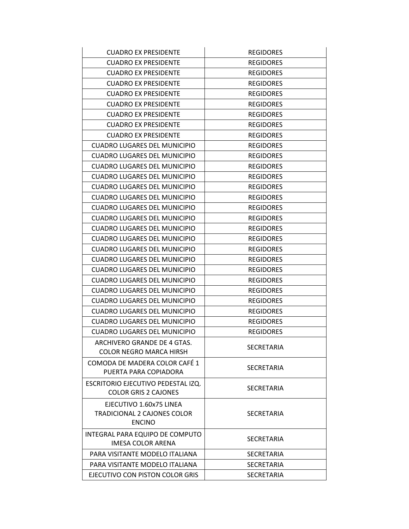| <b>CUADRO EX PRESIDENTE</b>                                                    | <b>REGIDORES</b>  |
|--------------------------------------------------------------------------------|-------------------|
| <b>CUADRO EX PRESIDENTE</b>                                                    | <b>REGIDORES</b>  |
| <b>CUADRO EX PRESIDENTE</b>                                                    | <b>REGIDORES</b>  |
| <b>CUADRO EX PRESIDENTE</b>                                                    | <b>REGIDORES</b>  |
| <b>CUADRO EX PRESIDENTE</b>                                                    | <b>REGIDORES</b>  |
| <b>CUADRO EX PRESIDENTE</b>                                                    | <b>REGIDORES</b>  |
| <b>CUADRO EX PRESIDENTE</b>                                                    | <b>REGIDORES</b>  |
| <b>CUADRO EX PRESIDENTE</b>                                                    | <b>REGIDORES</b>  |
| <b>CUADRO EX PRESIDENTE</b>                                                    | <b>REGIDORES</b>  |
| <b>CUADRO LUGARES DEL MUNICIPIO</b>                                            | <b>REGIDORES</b>  |
| CUADRO LUGARES DEL MUNICIPIO                                                   | <b>REGIDORES</b>  |
| <b>CUADRO LUGARES DEL MUNICIPIO</b>                                            | <b>REGIDORES</b>  |
| <b>CUADRO LUGARES DEL MUNICIPIO</b>                                            | <b>REGIDORES</b>  |
| <b>CUADRO LUGARES DEL MUNICIPIO</b>                                            | <b>REGIDORES</b>  |
| <b>CUADRO LUGARES DEL MUNICIPIO</b>                                            | <b>REGIDORES</b>  |
| <b>CUADRO LUGARES DEL MUNICIPIO</b>                                            | <b>REGIDORES</b>  |
| <b>CUADRO LUGARES DEL MUNICIPIO</b>                                            | <b>REGIDORES</b>  |
| <b>CUADRO LUGARES DEL MUNICIPIO</b>                                            | <b>REGIDORES</b>  |
| <b>CUADRO LUGARES DEL MUNICIPIO</b>                                            | <b>REGIDORES</b>  |
| <b>CUADRO LUGARES DEL MUNICIPIO</b>                                            | <b>REGIDORES</b>  |
| <b>CUADRO LUGARES DEL MUNICIPIO</b>                                            | <b>REGIDORES</b>  |
| <b>CUADRO LUGARES DEL MUNICIPIO</b>                                            | <b>REGIDORES</b>  |
| CUADRO LUGARES DEL MUNICIPIO                                                   | <b>REGIDORES</b>  |
| <b>CUADRO LUGARES DEL MUNICIPIO</b>                                            | <b>REGIDORES</b>  |
| <b>CUADRO LUGARES DEL MUNICIPIO</b>                                            | <b>REGIDORES</b>  |
| <b>CUADRO LUGARES DEL MUNICIPIO</b>                                            | <b>REGIDORES</b>  |
| <b>CUADRO LUGARES DEL MUNICIPIO</b>                                            | <b>REGIDORES</b>  |
| <b>CUADRO LUGARES DEL MUNICIPIO</b>                                            | <b>REGIDORES</b>  |
| ARCHIVERO GRANDE DE 4 GTAS.<br><b>COLOR NEGRO MARCA HIRSH</b>                  | SECRETARIA        |
| COMODA DE MADERA COLOR CAFÉ 1<br>PUERTA PARA COPIADORA                         | <b>SECRETARIA</b> |
| ESCRITORIO EJECUTIVO PEDESTAL IZQ.<br><b>COLOR GRIS 2 CAJONES</b>              | <b>SECRETARIA</b> |
| EJECUTIVO 1.60x75 LINEA<br><b>TRADICIONAL 2 CAJONES COLOR</b><br><b>ENCINO</b> | <b>SECRETARIA</b> |
| INTEGRAL PARA EQUIPO DE COMPUTO<br><b>IMESA COLOR ARENA</b>                    | <b>SECRETARIA</b> |
| PARA VISITANTE MODELO ITALIANA                                                 | <b>SECRETARIA</b> |
| PARA VISITANTE MODELO ITALIANA                                                 | SECRETARIA        |
| EJECUTIVO CON PISTON COLOR GRIS                                                | SECRETARIA        |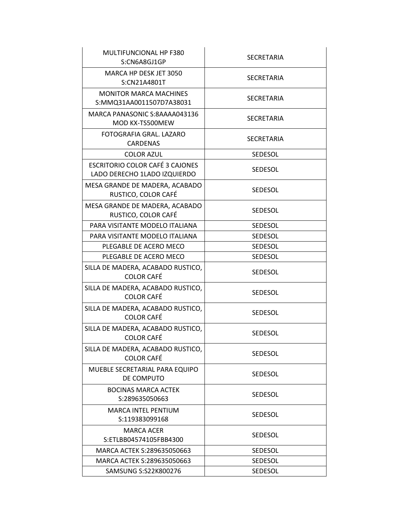| MULTIFUNCIONAL HP F380<br>S:CN6A8GJ1GP                          | <b>SECRETARIA</b> |
|-----------------------------------------------------------------|-------------------|
| MARCA HP DESK JET 3050<br>S:CN21A4801T                          | <b>SECRETARIA</b> |
| <b>MONITOR MARCA MACHINES</b><br>S:MMQ31AA0011507D7A38031       | <b>SECRETARIA</b> |
| MARCA PANASONIC S:8AAAA043136<br>MOD KX-TS500MEW                | SECRETARIA        |
| FOTOGRAFIA GRAL, LAZARO<br><b>CARDENAS</b>                      | <b>SECRETARIA</b> |
| <b>COLOR AZUL</b>                                               | <b>SEDESOL</b>    |
| ESCRITORIO COLOR CAFÉ 3 CAJONES<br>LADO DERECHO 1LADO IZQUIERDO | <b>SEDESOL</b>    |
| MESA GRANDE DE MADERA, ACABADO<br>RUSTICO, COLOR CAFÉ           | <b>SEDESOL</b>    |
| MESA GRANDE DE MADERA, ACABADO<br>RUSTICO, COLOR CAFÉ           | <b>SEDESOL</b>    |
| PARA VISITANTE MODELO ITALIANA                                  | <b>SEDESOL</b>    |
| PARA VISITANTE MODELO ITALIANA                                  | <b>SEDESOL</b>    |
| PLEGABLE DE ACERO MECO                                          | <b>SEDESOL</b>    |
| PLEGABLE DE ACERO MECO                                          | <b>SEDESOL</b>    |
| SILLA DE MADERA, ACABADO RUSTICO,<br><b>COLOR CAFÉ</b>          | <b>SEDESOL</b>    |
| SILLA DE MADERA, ACABADO RUSTICO,<br><b>COLOR CAFÉ</b>          | <b>SEDESOL</b>    |
| SILLA DE MADERA, ACABADO RUSTICO,<br><b>COLOR CAFÉ</b>          | <b>SEDESOL</b>    |
| SILLA DE MADERA, ACABADO RUSTICO,<br><b>COLOR CAFÉ</b>          | SEDESOL           |
| SILLA DE MADERA, ACABADO RUSTICO,<br><b>COLOR CAFÉ</b>          | <b>SEDESOL</b>    |
| MUEBLE SECRETARIAL PARA EQUIPO<br>DE COMPUTO                    | <b>SEDESOL</b>    |
| <b>BOCINAS MARCA ACTEK</b><br>S:289635050663                    | <b>SEDESOL</b>    |
| <b>MARCA INTEL PENTIUM</b><br>S:119383099168                    | <b>SEDESOL</b>    |
| <b>MARCA ACER</b><br>S:ETLBB04574105FBB4300                     | <b>SEDESOL</b>    |
| MARCA ACTEK S:289635050663                                      | SEDESOL           |
| MARCA ACTEK S:289635050663                                      | <b>SEDESOL</b>    |
| SAMSUNG S:S22K800276                                            | SEDESOL           |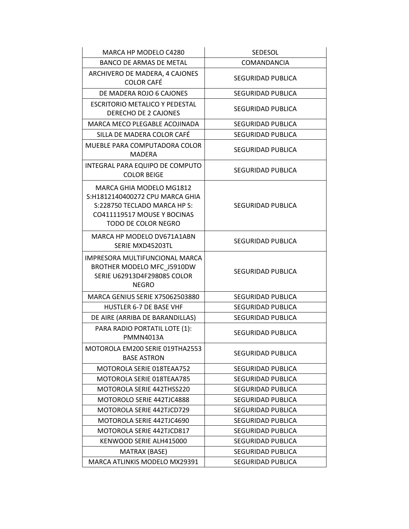| MARCA HP MODELO C4280                                                                                                                             | SEDESOL                  |
|---------------------------------------------------------------------------------------------------------------------------------------------------|--------------------------|
| BANCO DE ARMAS DE METAL                                                                                                                           | <b>COMANDANCIA</b>       |
| ARCHIVERO DE MADERA, 4 CAJONES<br><b>COLOR CAFÉ</b>                                                                                               | SEGURIDAD PUBLICA        |
| DE MADERA ROJO 6 CAJONES                                                                                                                          | <b>SEGURIDAD PUBLICA</b> |
| <b>ESCRITORIO METALICO Y PEDESTAL</b><br>DERECHO DE 2 CAJONES                                                                                     | SEGURIDAD PUBLICA        |
| MARCA MECO PLEGABLE ACOJINADA                                                                                                                     | SEGURIDAD PUBLICA        |
| SILLA DE MADERA COLOR CAFÉ                                                                                                                        | <b>SEGURIDAD PUBLICA</b> |
| MUEBLE PARA COMPUTADORA COLOR<br><b>MADERA</b>                                                                                                    | SEGURIDAD PUBLICA        |
| INTEGRAL PARA EQUIPO DE COMPUTO<br><b>COLOR BEIGE</b>                                                                                             | SEGURIDAD PUBLICA        |
| MARCA GHIA MODELO MG1812<br>S:H1812140400272 CPU MARCA GHIA<br>S:228750 TECLADO MARCA HP S:<br>CO411119517 MOUSE Y BOCINAS<br>TODO DE COLOR NEGRO | SEGURIDAD PUBLICA        |
| MARCA HP MODELO DV671A1ABN<br>SERIE MXD45203TL                                                                                                    | <b>SEGURIDAD PUBLICA</b> |
| IMPRESORA MULTIFUNCIONAL MARCA<br>BROTHER MODELO MFC J5910DW<br><b>SERIE U62913D4F298085 COLOR</b><br><b>NEGRO</b>                                | SEGURIDAD PUBLICA        |
| MARCA GENIUS SERIE X75062503880                                                                                                                   | SEGURIDAD PUBLICA        |
| <b>HUSTLER 6-7 DE BASE VHF</b>                                                                                                                    | SEGURIDAD PUBLICA        |
| DE AIRE (ARRIBA DE BARANDILLAS)                                                                                                                   | <b>SEGURIDAD PUBLICA</b> |
| PARA RADIO PORTATIL LOTE (1):<br><b>PMMN4013A</b>                                                                                                 | SEGURIDAD PUBLICA        |
| MOTOROLA EM200 SERIE 019THA2553<br><b>BASE ASTRON</b>                                                                                             | SEGURIDAD PUBLICA        |
| MOTOROLA SERIE 018TEAA752                                                                                                                         | SEGURIDAD PUBLICA        |
| MOTOROLA SERIE 018TEAA785                                                                                                                         | SEGURIDAD PUBLICA        |
| MOTOROLA SERIE 442THSS220                                                                                                                         | SEGURIDAD PUBLICA        |
| MOTOROLO SERIE 442TJC4888                                                                                                                         | SEGURIDAD PUBLICA        |
| MOTOROLA SERIE 442TJCD729                                                                                                                         | SEGURIDAD PUBLICA        |
| MOTOROLA SERIE 442TJC4690                                                                                                                         | SEGURIDAD PUBLICA        |
| MOTOROLA SERIE 442TJCD817                                                                                                                         | SEGURIDAD PUBLICA        |
| KENWOOD SERIE ALH415000                                                                                                                           | SEGURIDAD PUBLICA        |
| MATRAX (BASE)                                                                                                                                     | SEGURIDAD PUBLICA        |
| MARCA ATLINKIS MODELO MX29391                                                                                                                     | SEGURIDAD PUBLICA        |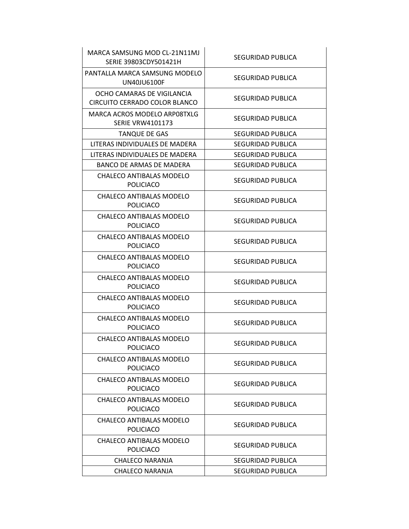| MARCA SAMSUNG MOD CL-21N11MJ<br>SERIE 39803CDY501421H       | SEGURIDAD PUBLICA        |
|-------------------------------------------------------------|--------------------------|
| PANTALLA MARCA SAMSUNG MODELO<br>UN40JU6100F                | SEGURIDAD PUBLICA        |
| OCHO CAMARAS DE VIGILANCIA<br>CIRCUITO CERRADO COLOR BLANCO | SEGURIDAD PUBLICA        |
| MARCA ACROS MODELO ARPO8TXLG<br><b>SERIE VRW4101173</b>     | <b>SEGURIDAD PUBLICA</b> |
| <b>TANQUE DE GAS</b>                                        | SEGURIDAD PUBLICA        |
| LITERAS INDIVIDUALES DE MADERA                              | SEGURIDAD PUBLICA        |
| LITERAS INDIVIDUALES DE MADERA                              | SEGURIDAD PUBLICA        |
| BANCO DE ARMAS DE MADERA                                    | SEGURIDAD PUBLICA        |
| CHALECO ANTIBALAS MODELO<br><b>POLICIACO</b>                | SEGURIDAD PUBLICA        |
| CHALECO ANTIBALAS MODELO<br><b>POLICIACO</b>                | SEGURIDAD PUBLICA        |
| CHALECO ANTIBALAS MODELO<br><b>POLICIACO</b>                | SEGURIDAD PUBLICA        |
| CHALECO ANTIBALAS MODELO<br><b>POLICIACO</b>                | SEGURIDAD PUBLICA        |
| CHALECO ANTIBALAS MODELO<br><b>POLICIACO</b>                | SEGURIDAD PUBLICA        |
| CHALECO ANTIBALAS MODELO<br><b>POLICIACO</b>                | SEGURIDAD PUBLICA        |
| CHALECO ANTIBALAS MODELO<br><b>POLICIACO</b>                | SEGURIDAD PUBLICA        |
| CHALECO ANTIBALAS MODELO<br><b>POLICIACO</b>                | SEGURIDAD PUBLICA        |
| CHALECO ANTIBALAS MODELO<br>POLICIACO                       | SEGURIDAD PUBLICA        |
| CHALECO ANTIBALAS MODELO<br><b>POLICIACO</b>                | SEGURIDAD PUBLICA        |
| CHALECO ANTIBALAS MODELO<br><b>POLICIACO</b>                | <b>SEGURIDAD PUBLICA</b> |
| CHALECO ANTIBALAS MODELO<br><b>POLICIACO</b>                | SEGURIDAD PUBLICA        |
| CHALECO ANTIBALAS MODELO<br><b>POLICIACO</b>                | SEGURIDAD PUBLICA        |
| CHALECO ANTIBALAS MODELO<br><b>POLICIACO</b>                | SEGURIDAD PUBLICA        |
| CHALECO NARANJA                                             | SEGURIDAD PUBLICA        |
| CHALECO NARANJA                                             | SEGURIDAD PUBLICA        |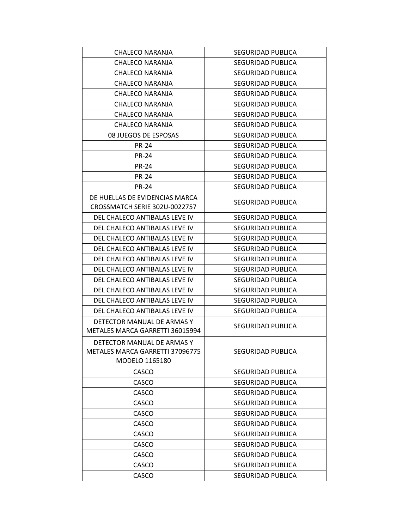| CHALECO NARANJA                                                                 | <b>SEGURIDAD PUBLICA</b> |
|---------------------------------------------------------------------------------|--------------------------|
| CHALECO NARANJA                                                                 | SEGURIDAD PUBLICA        |
| CHALECO NARANJA                                                                 | SEGURIDAD PUBLICA        |
| CHALECO NARANJA                                                                 | SEGURIDAD PUBLICA        |
| CHALECO NARANJA                                                                 | SEGURIDAD PUBLICA        |
| CHALECO NARANJA                                                                 | SEGURIDAD PUBLICA        |
| <b>CHALECO NARANJA</b>                                                          | SEGURIDAD PUBLICA        |
| CHALECO NARANJA                                                                 | SEGURIDAD PUBLICA        |
| 08 JUEGOS DE ESPOSAS                                                            | SEGURIDAD PUBLICA        |
| <b>PR-24</b>                                                                    | SEGURIDAD PUBLICA        |
| <b>PR-24</b>                                                                    | SEGURIDAD PUBLICA        |
| <b>PR-24</b>                                                                    | SEGURIDAD PUBLICA        |
| <b>PR-24</b>                                                                    | SEGURIDAD PUBLICA        |
| <b>PR-24</b>                                                                    | SEGURIDAD PUBLICA        |
| DE HUELLAS DE EVIDENCIAS MARCA<br>CROSSMATCH SERIE 302U-0022757                 | SEGURIDAD PUBLICA        |
| DEL CHALECO ANTIBALAS LEVE IV                                                   | SEGURIDAD PUBLICA        |
| DEL CHALECO ANTIBALAS LEVE IV                                                   | SEGURIDAD PUBLICA        |
| DEL CHALECO ANTIBALAS LEVE IV                                                   | SEGURIDAD PUBLICA        |
| DEL CHALECO ANTIBALAS LEVE IV                                                   | SEGURIDAD PUBLICA        |
| DEL CHALECO ANTIBALAS LEVE IV                                                   | SEGURIDAD PUBLICA        |
| DEL CHALECO ANTIBALAS LEVE IV                                                   | SEGURIDAD PUBLICA        |
| DEL CHALECO ANTIBALAS LEVE IV                                                   | SEGURIDAD PUBLICA        |
| DEL CHALECO ANTIBALAS LEVE IV                                                   | SEGURIDAD PUBLICA        |
| DEL CHALECO ANTIBALAS LEVE IV                                                   | SEGURIDAD PUBLICA        |
| DEL CHALECO ANTIBALAS LEVE IV                                                   | SEGURIDAD PUBLICA        |
| DETECTOR MANUAL DE ARMAS Y<br>METALES MARCA GARRETTI 36015994                   | SEGURIDAD PUBLICA        |
| DETECTOR MANUAL DE ARMAS Y<br>METALES MARCA GARRETTI 37096775<br>MODELO 1165180 | SEGURIDAD PUBLICA        |
| CASCO                                                                           | SEGURIDAD PUBLICA        |
| CASCO                                                                           | SEGURIDAD PUBLICA        |
| CASCO                                                                           | SEGURIDAD PUBLICA        |
| CASCO                                                                           | SEGURIDAD PUBLICA        |
| CASCO                                                                           | SEGURIDAD PUBLICA        |
| CASCO                                                                           | SEGURIDAD PUBLICA        |
| CASCO                                                                           | SEGURIDAD PUBLICA        |
| CASCO                                                                           | SEGURIDAD PUBLICA        |
| CASCO                                                                           | SEGURIDAD PUBLICA        |
| CASCO                                                                           | SEGURIDAD PUBLICA        |
| CASCO                                                                           | SEGURIDAD PUBLICA        |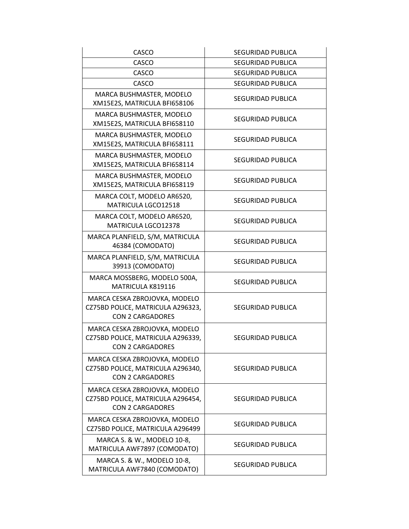| <b>CASCO</b>                                                                                  | SEGURIDAD PUBLICA |
|-----------------------------------------------------------------------------------------------|-------------------|
| CASCO                                                                                         | SEGURIDAD PUBLICA |
| <b>CASCO</b>                                                                                  | SEGURIDAD PUBLICA |
| <b>CASCO</b>                                                                                  | SEGURIDAD PUBLICA |
| MARCA BUSHMASTER, MODELO<br>XM15E2S, MATRICULA BFI658106                                      | SEGURIDAD PUBLICA |
| MARCA BUSHMASTER, MODELO<br>XM15E2S, MATRICULA BFI658110                                      | SEGURIDAD PUBLICA |
| MARCA BUSHMASTER, MODELO<br>XM15E2S, MATRICULA BFI658111                                      | SEGURIDAD PUBLICA |
| MARCA BUSHMASTER, MODELO<br>XM15E2S, MATRICULA BFI658114                                      | SEGURIDAD PUBLICA |
| MARCA BUSHMASTER, MODELO<br>XM15E2S, MATRICULA BFI658119                                      | SEGURIDAD PUBLICA |
| MARCA COLT, MODELO AR6520,<br>MATRICULA LGCO12518                                             | SEGURIDAD PUBLICA |
| MARCA COLT, MODELO AR6520,<br>MATRICULA LGCO12378                                             | SEGURIDAD PUBLICA |
| MARCA PLANFIELD, S/M, MATRICULA<br>46384 (COMODATO)                                           | SEGURIDAD PUBLICA |
| MARCA PLANFIELD, S/M, MATRICULA<br>39913 (COMODATO)                                           | SEGURIDAD PUBLICA |
| MARCA MOSSBERG, MODELO 500A,<br>MATRICULA K819116                                             | SEGURIDAD PUBLICA |
| MARCA CESKA ZBROJOVKA, MODELO<br>CZ75BD POLICE, MATRICULA A296323,<br><b>CON 2 CARGADORES</b> | SEGURIDAD PUBLICA |
| MARCA CESKA ZBROJOVKA, MODELO<br>CZ75BD POLICE, MATRICULA A296339,<br><b>CON 2 CARGADORES</b> | SEGURIDAD PUBLICA |
| MARCA CESKA ZBROJOVKA, MODELO<br>CZ75BD POLICE, MATRICULA A296340,<br><b>CON 2 CARGADORES</b> | SEGURIDAD PUBLICA |
| MARCA CESKA ZBROJOVKA, MODELO<br>CZ75BD POLICE, MATRICULA A296454,<br><b>CON 2 CARGADORES</b> | SEGURIDAD PUBLICA |
| MARCA CESKA ZBROJOVKA, MODELO<br>CZ75BD POLICE, MATRICULA A296499                             | SEGURIDAD PUBLICA |
| MARCA S. & W., MODELO 10-8,<br>MATRICULA AWF7897 (COMODATO)                                   | SEGURIDAD PUBLICA |
| MARCA S. & W., MODELO 10-8,<br>MATRICULA AWF7840 (COMODATO)                                   | SEGURIDAD PUBLICA |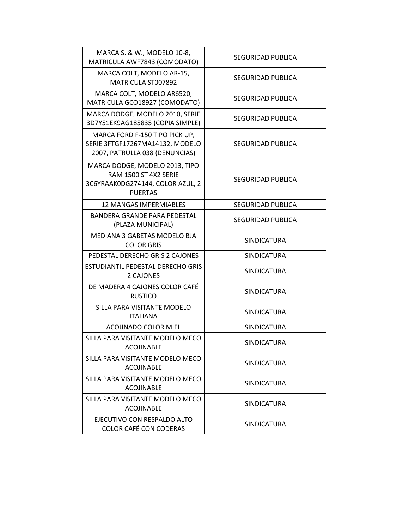| MARCA S. & W., MODELO 10-8,<br>MATRICULA AWF7843 (COMODATO)                                                   | SEGURIDAD PUBLICA        |
|---------------------------------------------------------------------------------------------------------------|--------------------------|
| MARCA COLT, MODELO AR-15,<br>MATRICULA ST007892                                                               | SEGURIDAD PUBLICA        |
| MARCA COLT, MODELO AR6520,<br>MATRICULA GCO18927 (COMODATO)                                                   | SEGURIDAD PUBLICA        |
| MARCA DODGE, MODELO 2010, SERIE<br>3D7Y51EK9AG185835 (COPIA SIMPLE)                                           | <b>SEGURIDAD PUBLICA</b> |
| MARCA FORD F-150 TIPO PICK UP,<br>SERIE 3FTGF17267MA14132, MODELO<br>2007, PATRULLA 038 (DENUNCIAS)           | SEGURIDAD PUBLICA        |
| MARCA DODGE, MODELO 2013, TIPO<br>RAM 1500 ST 4X2 SERIE<br>3C6YRAAK0DG274144, COLOR AZUL, 2<br><b>PUERTAS</b> | SEGURIDAD PUBLICA        |
| <b>12 MANGAS IMPERMIABLES</b>                                                                                 | SEGURIDAD PUBLICA        |
| BANDERA GRANDE PARA PEDESTAL<br>(PLAZA MUNICIPAL)                                                             | <b>SEGURIDAD PUBLICA</b> |
| MEDIANA 3 GABETAS MODELO BJA<br><b>COLOR GRIS</b>                                                             | <b>SINDICATURA</b>       |
| PEDESTAL DERECHO GRIS 2 CAJONES                                                                               | <b>SINDICATURA</b>       |
| ESTUDIANTIL PEDESTAL DERECHO GRIS<br>2 CAJONES                                                                | <b>SINDICATURA</b>       |
| DE MADERA 4 CAJONES COLOR CAFÉ<br><b>RUSTICO</b>                                                              | <b>SINDICATURA</b>       |
| SILLA PARA VISITANTE MODELO<br><b>ITALIANA</b>                                                                | <b>SINDICATURA</b>       |
| ACOJINADO COLOR MIEL                                                                                          | <b>SINDICATURA</b>       |
| SILLA PARA VISITANTE MODELO MECO<br>ACOJINABLE                                                                | SINDICATURA              |
| SILLA PARA VISITANTE MODELO MECO<br><b>ACOJINABLE</b>                                                         | <b>SINDICATURA</b>       |
| SILLA PARA VISITANTE MODELO MECO<br><b>ACOJINABLE</b>                                                         | <b>SINDICATURA</b>       |
| SILLA PARA VISITANTE MODELO MECO<br><b>ACOJINABLE</b>                                                         | <b>SINDICATURA</b>       |
| EJECUTIVO CON RESPALDO ALTO<br><b>COLOR CAFÉ CON CODERAS</b>                                                  | <b>SINDICATURA</b>       |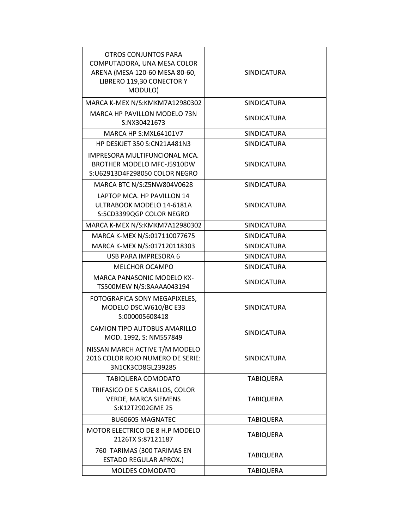| <b>OTROS CONJUNTOS PARA</b><br>COMPUTADORA, UNA MESA COLOR<br>ARENA (MESA 120-60 MESA 80-60,<br>LIBRERO 119,30 CONECTOR Y<br>MODULO) | SINDICATURA        |
|--------------------------------------------------------------------------------------------------------------------------------------|--------------------|
| MARCA K-MEX N/S:KMKM7A12980302                                                                                                       | <b>SINDICATURA</b> |
| MARCA HP PAVILLON MODELO 73N<br>S:NX30421673                                                                                         | <b>SINDICATURA</b> |
| MARCA HP S:MXL64101V7                                                                                                                | <b>SINDICATURA</b> |
| <b>HP DESKJET 350 S:CN21A481N3</b>                                                                                                   | <b>SINDICATURA</b> |
| IMPRESORA MULTIFUNCIONAL MCA.<br>BROTHER MODELO MFC-J5910DW<br>S:U62913D4F298050 COLOR NEGRO                                         | <b>SINDICATURA</b> |
| MARCA BTC N/S:Z5NW804V0628                                                                                                           | <b>SINDICATURA</b> |
| LAPTOP MCA. HP PAVILLON 14<br>ULTRABOOK MODELO 14-6181A<br>S:5CD3399QGP COLOR NEGRO                                                  | <b>SINDICATURA</b> |
| MARCA K-MEX N/S:KMKM7A12980302                                                                                                       | <b>SINDICATURA</b> |
| MARCA K-MEX N/S:017110077675                                                                                                         | <b>SINDICATURA</b> |
| MARCA K-MEX N/S:017120118303                                                                                                         | <b>SINDICATURA</b> |
| <b>USB PARA IMPRESORA 6</b>                                                                                                          | <b>SINDICATURA</b> |
| <b>MELCHOR OCAMPO</b>                                                                                                                | <b>SINDICATURA</b> |
| <b>MARCA PANASONIC MODELO KX-</b><br>TS500MEW N/S:8AAAA043194                                                                        | <b>SINDICATURA</b> |
| FOTOGRAFICA SONY MEGAPIXELES,<br>MODELO DSC.W610/BC E33<br>S:000005608418                                                            | <b>SINDICATURA</b> |
| CAMION TIPO AUTOBUS AMARILLO<br>MOD. 1992, S: NM557849                                                                               | <b>SINDICATURA</b> |
| NISSAN MARCH ACTIVE T/M MODELO<br>2016 COLOR ROJO NUMERO DE SERIE:<br>3N1CK3CD8GL239285                                              | <b>SINDICATURA</b> |
| TABIQUERA COMODATO                                                                                                                   | <b>TABIQUERA</b>   |
| TRIFASICO DE 5 CABALLOS, COLOR<br><b>VERDE, MARCA SIEMENS</b><br>S:K12T2902GME 25                                                    | <b>TABIQUERA</b>   |
| <b>BU60605 MAGNATEC</b>                                                                                                              | <b>TABIQUERA</b>   |
| MOTOR ELECTRICO DE 8 H.P MODELO<br>2126TX S:87121187                                                                                 | <b>TABIQUERA</b>   |
| 760 TARIMAS (300 TARIMAS EN<br><b>ESTADO REGULAR APROX.)</b>                                                                         | <b>TABIQUERA</b>   |
| MOLDES COMODATO                                                                                                                      | <b>TABIQUERA</b>   |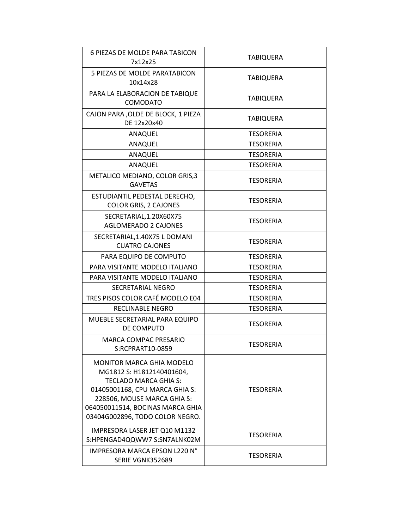| 6 PIEZAS DE MOLDE PARA TABICON<br>7x12x25                                                                                                                                                                                      | <b>TABIQUERA</b> |
|--------------------------------------------------------------------------------------------------------------------------------------------------------------------------------------------------------------------------------|------------------|
| 5 PIEZAS DE MOLDE PARATABICON<br>10x14x28                                                                                                                                                                                      | <b>TABIQUERA</b> |
| PARA LA ELABORACION DE TABIQUE<br><b>COMODATO</b>                                                                                                                                                                              | <b>TABIQUERA</b> |
| CAJON PARA , OLDE DE BLOCK, 1 PIEZA<br>DE 12x20x40                                                                                                                                                                             | TABIQUERA        |
| ANAQUEL                                                                                                                                                                                                                        | <b>TESORERIA</b> |
| ANAQUEL                                                                                                                                                                                                                        | <b>TESORERIA</b> |
| ANAQUEL                                                                                                                                                                                                                        | <b>TESORERIA</b> |
| ANAQUEL                                                                                                                                                                                                                        | <b>TESORERIA</b> |
| METALICO MEDIANO, COLOR GRIS,3<br><b>GAVETAS</b>                                                                                                                                                                               | <b>TESORERIA</b> |
| ESTUDIANTIL PEDESTAL DERECHO,<br>COLOR GRIS, 2 CAJONES                                                                                                                                                                         | <b>TESORERIA</b> |
| SECRETARIAL, 1.20X60X75<br><b>AGLOMERADO 2 CAJONES</b>                                                                                                                                                                         | <b>TESORERIA</b> |
| SECRETARIAL, 1.40X75 L DOMANI<br><b>CUATRO CAJONES</b>                                                                                                                                                                         | <b>TESORERIA</b> |
| PARA EQUIPO DE COMPUTO                                                                                                                                                                                                         | <b>TESORERIA</b> |
| PARA VISITANTE MODELO ITALIANO                                                                                                                                                                                                 | <b>TESORERIA</b> |
| PARA VISITANTE MODELO ITALIANO                                                                                                                                                                                                 | <b>TESORERIA</b> |
| SECRETARIAL NEGRO                                                                                                                                                                                                              | <b>TESORERIA</b> |
| TRES PISOS COLOR CAFÉ MODELO E04                                                                                                                                                                                               | <b>TESORERIA</b> |
| <b>RECLINABLE NEGRO</b>                                                                                                                                                                                                        | <b>TESORERIA</b> |
| MUEBLE SECRETARIAL PARA EQUIPO<br>DE COMPUTO                                                                                                                                                                                   | <b>TESORERIA</b> |
| <b>MARCA COMPAC PRESARIO</b><br>S:RCPRART10-0859                                                                                                                                                                               | <b>TESORERIA</b> |
| <b>MONITOR MARCA GHIA MODELO</b><br>MG1812 S: H1812140401604,<br>TECLADO MARCA GHIA S:<br>01405001168, CPU MARCA GHIA S:<br>228506, MOUSE MARCA GHIA S:<br>064050011514, BOCINAS MARCA GHIA<br>03404G002896, TODO COLOR NEGRO. | <b>TESORERIA</b> |
| IMPRESORA LASER JET Q10 M1132<br>S:HPENGAD4QQWW7 S:SN7ALNK02M                                                                                                                                                                  | TESORERIA        |
| <b>IMPRESORA MARCA EPSON L220 N°</b><br>SERIE VGNK352689                                                                                                                                                                       | <b>TESORERIA</b> |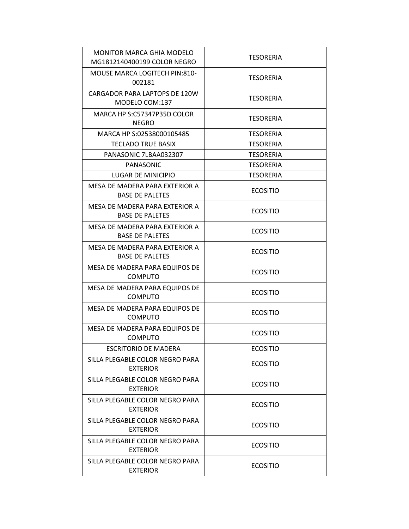| MONITOR MARCA GHIA MODELO<br>MG1812140400199 COLOR NEGRO | <b>TESORERIA</b> |
|----------------------------------------------------------|------------------|
| MOUSE MARCA LOGITECH PIN:810-<br>002181                  | <b>TESORERIA</b> |
| CARGADOR PARA LAPTOPS DE 120W<br>MODELO COM:137          | <b>TESORERIA</b> |
| MARCA HP S:C57347P35D COLOR<br><b>NEGRO</b>              | TESORERIA        |
| MARCA HP S:02538000105485                                | <b>TESORERIA</b> |
| <b>TECLADO TRUE BASIX</b>                                | <b>TESORERIA</b> |
| PANASONIC 7LBAA032307                                    | <b>TESORERIA</b> |
| PANASONIC                                                | <b>TESORERIA</b> |
| LUGAR DE MINICIPIO                                       | <b>TESORERIA</b> |
| MESA DE MADERA PARA EXTERIOR A<br><b>BASE DE PALETES</b> | <b>ECOSITIO</b>  |
| MESA DE MADERA PARA EXTERIOR A<br><b>BASE DE PALETES</b> | <b>ECOSITIO</b>  |
| MESA DE MADERA PARA EXTERIOR A<br><b>BASE DE PALETES</b> | <b>ECOSITIO</b>  |
| MESA DE MADERA PARA EXTERIOR A<br><b>BASE DE PALETES</b> | <b>ECOSITIO</b>  |
| MESA DE MADERA PARA EQUIPOS DE<br><b>COMPUTO</b>         | <b>ECOSITIO</b>  |
| MESA DE MADERA PARA EQUIPOS DE<br><b>COMPUTO</b>         | <b>ECOSITIO</b>  |
| MESA DE MADERA PARA EQUIPOS DE<br><b>COMPUTO</b>         | <b>ECOSITIO</b>  |
| MESA DE MADERA PARA EQUIPOS DE<br><b>COMPUTO</b>         | <b>ECOSITIO</b>  |
| <b>ESCRITORIO DE MADERA</b>                              | <b>ECOSITIO</b>  |
| SILLA PLEGABLE COLOR NEGRO PARA<br><b>EXTERIOR</b>       | <b>ECOSITIO</b>  |
| SILLA PLEGABLE COLOR NEGRO PARA<br><b>EXTERIOR</b>       | <b>ECOSITIO</b>  |
| SILLA PLEGABLE COLOR NEGRO PARA<br><b>EXTERIOR</b>       | <b>ECOSITIO</b>  |
| SILLA PLEGABLE COLOR NEGRO PARA<br><b>EXTERIOR</b>       | <b>ECOSITIO</b>  |
| SILLA PLEGABLE COLOR NEGRO PARA<br><b>EXTERIOR</b>       | <b>ECOSITIO</b>  |
| SILLA PLEGABLE COLOR NEGRO PARA<br><b>EXTERIOR</b>       | <b>ECOSITIO</b>  |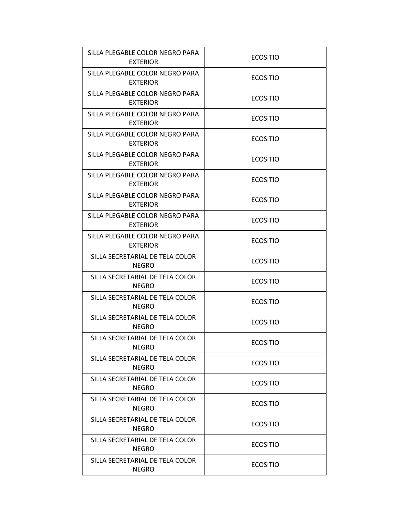| SILLA PLEGABLE COLOR NEGRO PARA<br><b>EXTERIOR</b> | <b>ECOSITIO</b> |
|----------------------------------------------------|-----------------|
| SILLA PLEGABLE COLOR NEGRO PARA<br><b>EXTERIOR</b> | <b>ECOSITIO</b> |
| SILLA PLEGABLE COLOR NEGRO PARA<br><b>EXTERIOR</b> | <b>ECOSITIO</b> |
| SILLA PLEGABLE COLOR NEGRO PARA<br><b>EXTERIOR</b> | <b>ECOSITIO</b> |
| SILLA PLEGABLE COLOR NEGRO PARA<br><b>EXTERIOR</b> | <b>ECOSITIO</b> |
| SILLA PLEGABLE COLOR NEGRO PARA<br><b>EXTERIOR</b> | <b>ECOSITIO</b> |
| SILLA PLEGABLE COLOR NEGRO PARA<br><b>EXTERIOR</b> | <b>ECOSITIO</b> |
| SILLA PLEGABLE COLOR NEGRO PARA<br><b>EXTERIOR</b> | <b>ECOSITIO</b> |
| SILLA PLEGABLE COLOR NEGRO PARA<br><b>EXTERIOR</b> | <b>ECOSITIO</b> |
| SILLA PLEGABLE COLOR NEGRO PARA<br><b>EXTERIOR</b> | <b>ECOSITIO</b> |
| SILLA SECRETARIAL DE TELA COLOR<br><b>NEGRO</b>    | <b>ECOSITIO</b> |
| SILLA SECRETARIAL DE TELA COLOR<br><b>NEGRO</b>    | <b>ECOSITIO</b> |
| SILLA SECRETARIAL DE TELA COLOR<br><b>NEGRO</b>    | <b>ECOSITIO</b> |
| SILLA SECRETARIAL DE TELA COLOR<br><b>NEGRO</b>    | <b>ECOSITIO</b> |
| SILLA SECRETARIAL DE TELA COLOR<br>NEGRO           | <b>ECOSITIO</b> |
| SILLA SECRETARIAL DE TELA COLOR<br><b>NEGRO</b>    | <b>ECOSITIO</b> |
| SILLA SECRETARIAL DE TELA COLOR<br><b>NEGRO</b>    | <b>ECOSITIO</b> |
| SILLA SECRETARIAL DE TELA COLOR<br><b>NEGRO</b>    | <b>ECOSITIO</b> |
| SILLA SECRETARIAL DE TELA COLOR<br><b>NEGRO</b>    | <b>ECOSITIO</b> |
| SILLA SECRETARIAL DE TELA COLOR<br><b>NEGRO</b>    | <b>ECOSITIO</b> |
| SILLA SECRETARIAL DE TELA COLOR<br><b>NEGRO</b>    | <b>ECOSITIO</b> |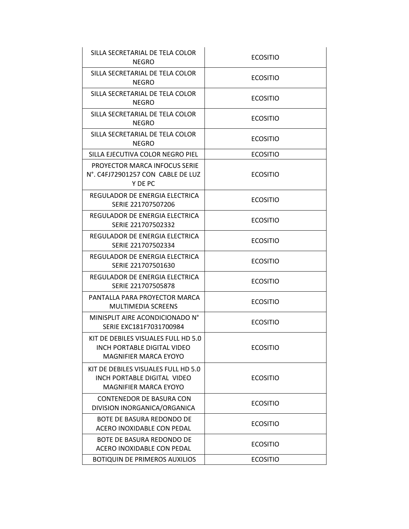| SILLA SECRETARIAL DE TELA COLOR<br>NEGRO                                                           | <b>ECOSITIO</b> |
|----------------------------------------------------------------------------------------------------|-----------------|
| SILLA SECRETARIAL DE TELA COLOR<br><b>NEGRO</b>                                                    | <b>ECOSITIO</b> |
| SILLA SECRETARIAL DE TELA COLOR<br><b>NEGRO</b>                                                    | <b>ECOSITIO</b> |
| SILLA SECRETARIAL DE TELA COLOR<br><b>NEGRO</b>                                                    | <b>ECOSITIO</b> |
| SILLA SECRETARIAL DE TELA COLOR<br><b>NEGRO</b>                                                    | <b>ECOSITIO</b> |
| SILLA EJECUTIVA COLOR NEGRO PIEL                                                                   | <b>ECOSITIO</b> |
| <b>PROYECTOR MARCA INFOCUS SERIE</b><br>N°. C4FJ72901257 CON CABLE DE LUZ<br>Y DE PC               | <b>ECOSITIO</b> |
| REGULADOR DE ENERGIA ELECTRICA<br>SERIE 221707507206                                               | <b>ECOSITIO</b> |
| REGULADOR DE ENERGIA ELECTRICA<br>SERIE 221707502332                                               | <b>ECOSITIO</b> |
| REGULADOR DE ENERGIA ELECTRICA<br>SERIE 221707502334                                               | <b>ECOSITIO</b> |
| REGULADOR DE ENERGIA ELECTRICA<br>SERIE 221707501630                                               | <b>ECOSITIO</b> |
| REGULADOR DE ENERGIA ELECTRICA<br>SERIE 221707505878                                               | <b>ECOSITIO</b> |
| PANTALLA PARA PROYECTOR MARCA<br><b>MULTIMEDIA SCREENS</b>                                         | <b>ECOSITIO</b> |
| MINISPLIT AIRE ACONDICIONADO N°<br>SERIE EXC181F7031700984                                         | <b>ECOSITIO</b> |
| KIT DE DEBILES VISUALES FULL HD 5.0<br>INCH PORTABLE DIGITAL VIDEO<br><b>MAGNIFIER MARCA EYOYO</b> | <b>ECOSITIO</b> |
| KIT DE DEBILES VISUALES FULL HD 5.0<br>INCH PORTABLE DIGITAL VIDEO<br><b>MAGNIFIER MARCA EYOYO</b> | <b>ECOSITIO</b> |
| <b>CONTENEDOR DE BASURA CON</b><br>DIVISION INORGANICA/ORGANICA                                    | <b>ECOSITIO</b> |
| <b>BOTE DE BASURA REDONDO DE</b><br>ACERO INOXIDABLE CON PEDAL                                     | <b>ECOSITIO</b> |
| BOTE DE BASURA REDONDO DE<br>ACERO INOXIDABLE CON PEDAL                                            | <b>ECOSITIO</b> |
| <b>BOTIQUIN DE PRIMEROS AUXILIOS</b>                                                               | <b>ECOSITIO</b> |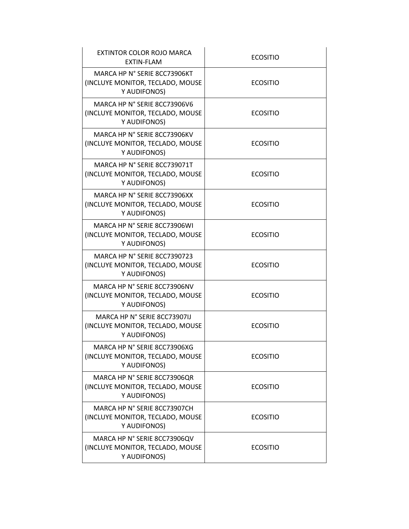| EXTINTOR COLOR ROJO MARCA<br>EXTIN-FLAM                                          | <b>ECOSITIO</b> |
|----------------------------------------------------------------------------------|-----------------|
| MARCA HP N° SERIE 8CC73906KT<br>(INCLUYE MONITOR, TECLADO, MOUSE<br>Y AUDIFONOS) | <b>ECOSITIO</b> |
| MARCA HP N° SERIE 8CC73906V6<br>(INCLUYE MONITOR, TECLADO, MOUSE<br>Y AUDIFONOS) | <b>ECOSITIO</b> |
| MARCA HP N° SERIE 8CC73906KV<br>(INCLUYE MONITOR, TECLADO, MOUSE<br>Y AUDIFONOS) | <b>ECOSITIO</b> |
| MARCA HP N° SERIE 8CC739071T<br>(INCLUYE MONITOR, TECLADO, MOUSE<br>Y AUDIFONOS) | <b>ECOSITIO</b> |
| MARCA HP N° SERIE 8CC73906XX<br>(INCLUYE MONITOR, TECLADO, MOUSE<br>Y AUDIFONOS) | <b>ECOSITIO</b> |
| MARCA HP N° SERIE 8CC73906WI<br>(INCLUYE MONITOR, TECLADO, MOUSE<br>Y AUDIFONOS) | <b>ECOSITIO</b> |
| MARCA HP N° SERIE 8CC7390723<br>(INCLUYE MONITOR, TECLADO, MOUSE<br>Y AUDIFONOS) | <b>ECOSITIO</b> |
| MARCA HP N° SERIE 8CC73906NV<br>(INCLUYE MONITOR, TECLADO, MOUSE<br>Y AUDIFONOS) | <b>ECOSITIO</b> |
| MARCA HP N° SERIE 8CC73907IJ<br>(INCLUYE MONITOR, TECLADO, MOUSE<br>Y AUDIFONOS) | <b>ECOSITIO</b> |
| MARCA HP N° SERIE 8CC73906XG<br>(INCLUYE MONITOR, TECLADO, MOUSE<br>Y AUDIFONOS) | <b>ECOSITIO</b> |
| MARCA HP N° SERIE 8CC73906QR<br>(INCLUYE MONITOR, TECLADO, MOUSE<br>Y AUDIFONOS) | <b>ECOSITIO</b> |
| MARCA HP N° SERIE 8CC73907CH<br>(INCLUYE MONITOR, TECLADO, MOUSE<br>Y AUDIFONOS) | <b>ECOSITIO</b> |
| MARCA HP N° SERIE 8CC73906QV<br>(INCLUYE MONITOR, TECLADO, MOUSE<br>Y AUDIFONOS) | <b>ECOSITIO</b> |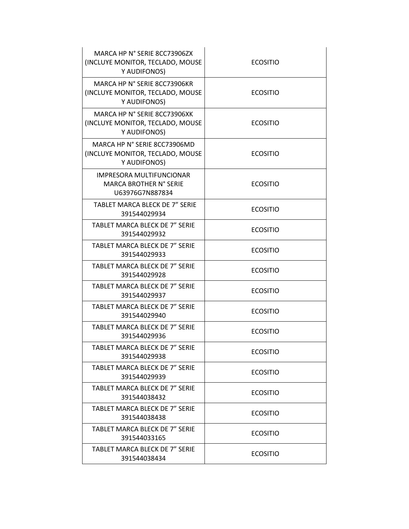| MARCA HP N° SERIE 8CC73906ZX<br>(INCLUYE MONITOR, TECLADO, MOUSE<br>Y AUDIFONOS) | <b>ECOSITIO</b> |
|----------------------------------------------------------------------------------|-----------------|
| MARCA HP N° SERIE 8CC73906KR<br>(INCLUYE MONITOR, TECLADO, MOUSE<br>Y AUDIFONOS) | <b>ECOSITIO</b> |
| MARCA HP N° SERIE 8CC73906XK<br>(INCLUYE MONITOR, TECLADO, MOUSE<br>Y AUDIFONOS) | <b>ECOSITIO</b> |
| MARCA HP N° SERIE 8CC73906MD<br>(INCLUYE MONITOR, TECLADO, MOUSE<br>Y AUDIFONOS) | <b>ECOSITIO</b> |
| <b>IMPRESORA MULTIFUNCIONAR</b><br>MARCA BROTHER N° SERIE<br>U63976G7N887834     | <b>ECOSITIO</b> |
| <b>TABLET MARCA BLECK DE 7" SERIE</b><br>391544029934                            | <b>ECOSITIO</b> |
| <b>TABLET MARCA BLECK DE 7" SERIE</b><br>391544029932                            | <b>ECOSITIO</b> |
| TABLET MARCA BLECK DE 7" SERIE<br>391544029933                                   | <b>ECOSITIO</b> |
| TABLET MARCA BLECK DE 7" SERIE<br>391544029928                                   | <b>ECOSITIO</b> |
| TABLET MARCA BLECK DE 7" SERIE<br>391544029937                                   | <b>ECOSITIO</b> |
| TABLET MARCA BLECK DE 7" SERIE<br>391544029940                                   | <b>ECOSITIO</b> |
| TABLET MARCA BLECK DE 7" SERIE<br>391544029936                                   | <b>ECOSITIO</b> |
| TABLET MARCA BLECK DE 7" SERIE<br>391544029938                                   | <b>ECOSITIO</b> |
| TABLET MARCA BLECK DE 7" SERIE<br>391544029939                                   | <b>ECOSITIO</b> |
| TABLET MARCA BLECK DE 7" SERIE<br>391544038432                                   | <b>ECOSITIO</b> |
| TABLET MARCA BLECK DE 7" SERIE<br>391544038438                                   | <b>ECOSITIO</b> |
| TABLET MARCA BLECK DE 7" SERIE<br>391544033165                                   | <b>ECOSITIO</b> |
| TABLET MARCA BLECK DE 7" SERIE<br>391544038434                                   | <b>ECOSITIO</b> |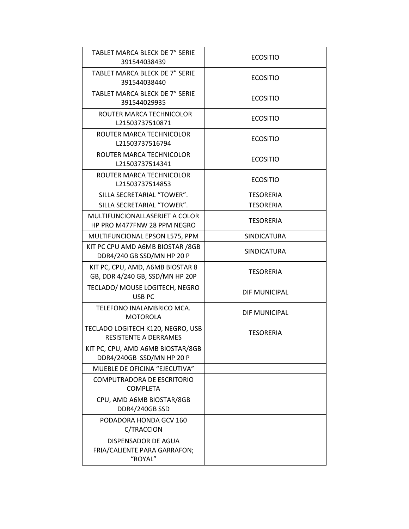| TABLET MARCA BLECK DE 7" SERIE<br>391544038439                      | <b>ECOSITIO</b>    |
|---------------------------------------------------------------------|--------------------|
| TABLET MARCA BLECK DE 7" SERIE<br>391544038440                      | <b>ECOSITIO</b>    |
| TABLET MARCA BLECK DE 7" SERIE<br>391544029935                      | <b>ECOSITIO</b>    |
| ROUTER MARCA TECHNICOLOR<br>L21503737510871                         | <b>ECOSITIO</b>    |
| ROUTER MARCA TECHNICOLOR<br>L21503737516794                         | <b>ECOSITIO</b>    |
| ROUTER MARCA TECHNICOLOR<br>L21503737514341                         | <b>ECOSITIO</b>    |
| ROUTER MARCA TECHNICOLOR<br>L21503737514853                         | <b>ECOSITIO</b>    |
| SILLA SECRETARIAL "TOWER".                                          | <b>TESORERIA</b>   |
| SILLA SECRETARIAL "TOWER".                                          | <b>TESORERIA</b>   |
| MULTIFUNCIONALLASERJET A COLOR<br>HP PRO M477FNW 28 PPM NEGRO       | <b>TESORERIA</b>   |
| MULTIFUNCIONAL EPSON L575, PPM                                      | SINDICATURA        |
| KIT PC CPU AMD A6MB BIOSTAR /8GB<br>DDR4/240 GB SSD/MN HP 20 P      | <b>SINDICATURA</b> |
| KIT PC, CPU, AMD, A6MB BIOSTAR 8<br>GB, DDR 4/240 GB, SSD/MN HP 20P | <b>TESORERIA</b>   |
| TECLADO/ MOUSE LOGITECH, NEGRO<br>USB PC                            | DIF MUNICIPAL      |
| TELEFONO INALAMBRICO MCA.<br><b>MOTOROLA</b>                        | DIF MUNICIPAL      |
| TECLADO LOGITECH K120, NEGRO, USB<br>RESISTENTE A DERRAMES          | <b>TESORERIA</b>   |
| KIT PC, CPU, AMD A6MB BIOSTAR/8GB<br>DDR4/240GB SSD/MN HP 20 P      |                    |
| MUEBLE DE OFICINA "EJECUTIVA"                                       |                    |
| COMPUTRADORA DE ESCRITORIO<br><b>COMPLETA</b>                       |                    |
| CPU, AMD A6MB BIOSTAR/8GB<br>DDR4/240GB SSD                         |                    |
| PODADORA HONDA GCV 160<br>C/TRACCION                                |                    |
| DISPENSADOR DE AGUA<br>FRIA/CALIENTE PARA GARRAFON;<br>"ROYAL"      |                    |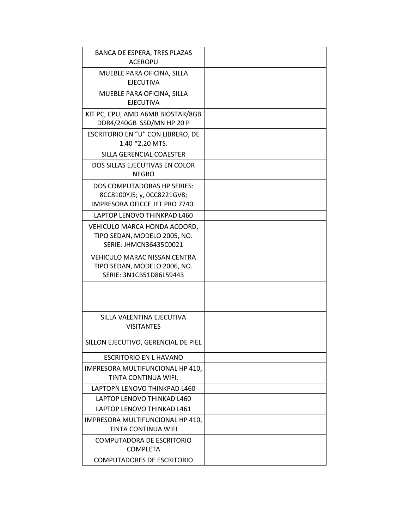| BANCA DE ESPERA, TRES PLAZAS<br><b>ACEROPU</b>                                                 |  |
|------------------------------------------------------------------------------------------------|--|
| MUEBLE PARA OFICINA, SILLA<br><b>EJECUTIVA</b>                                                 |  |
| MUEBLE PARA OFICINA, SILLA<br><b>EJECUTIVA</b>                                                 |  |
| KIT PC, CPU, AMD A6MB BIOSTAR/8GB<br>DDR4/240GB SSD/MN HP 20 P                                 |  |
| ESCRITORIO EN "U" CON LIBRERO, DE<br>1.40 *2.20 MTS.                                           |  |
| SILLA GERENCIAL COAESTER                                                                       |  |
| DOS SILLAS EJECUTIVAS EN COLOR<br><b>NEGRO</b>                                                 |  |
| DOS COMPUTADORAS HP SERIES:<br>8CC8100YJ5; y, 0CC8221GV8;<br>IMPRESORA OFICCE JET PRO 7740.    |  |
| LAPTOP LENOVO THINKPAD L460                                                                    |  |
| VEHICULO MARCA HONDA ACOORD,<br>TIPO SEDAN, MODELO 2005, NO.<br>SERIE: JHMCN36435C0021         |  |
| <b>VEHICULO MARAC NISSAN CENTRA</b><br>TIPO SEDAN, MODELO 2006, NO.<br>SERIE: 3N1CB51D86L59443 |  |
|                                                                                                |  |
| SILLA VALENTINA EJECUTIVA<br><b>VISITANTES</b>                                                 |  |
| SILLON EJECUTIVO, GERENCIAL DE PIEL                                                            |  |
| ESCRITORIO EN L HAVANO                                                                         |  |
| IMPRESORA MULTIFUNCIONAL HP 410,<br>TINTA CONTINUA WIFI.                                       |  |
| LAPTOPN LENOVO THINKPAD L460                                                                   |  |
| LAPTOP LENOVO THINKAD L460                                                                     |  |
| LAPTOP LENOVO THINKAD L461                                                                     |  |
| IMPRESORA MULTIFUNCIONAL HP 410,<br>TINTA CONTINUA WIFI                                        |  |
| COMPUTADORA DE ESCRITORIO<br><b>COMPLETA</b>                                                   |  |
| <b>COMPUTADORES DE ESCRITORIO</b>                                                              |  |